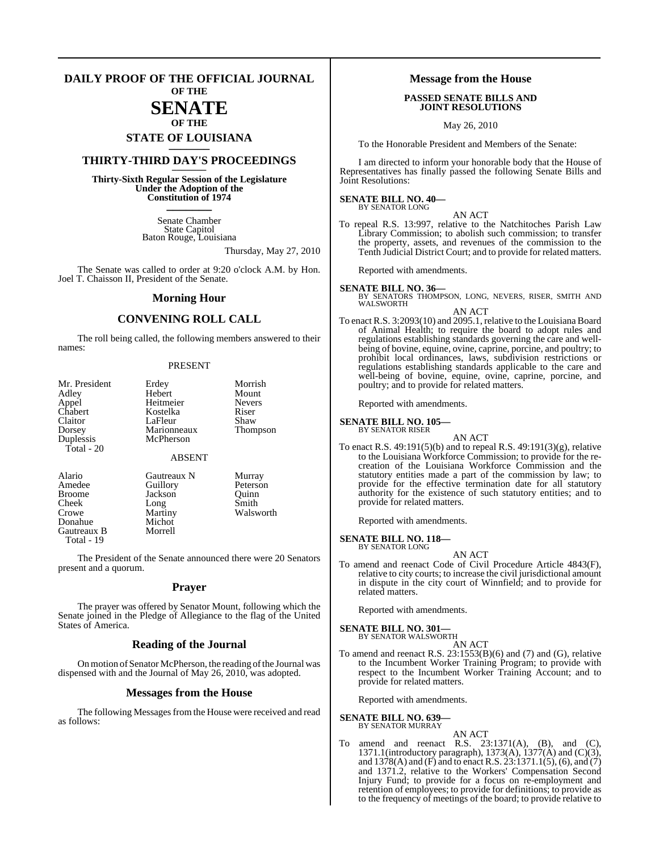#### **DAILY PROOF OF THE OFFICIAL JOURNAL OF THE**

# **SENATE**

### **OF THE STATE OF LOUISIANA \_\_\_\_\_\_\_**

### **THIRTY-THIRD DAY'S PROCEEDINGS \_\_\_\_\_\_\_**

**Thirty-Sixth Regular Session of the Legislature Under the Adoption of the Constitution of 1974 \_\_\_\_\_\_\_**

> Senate Chamber State Capitol Baton Rouge, Louisiana

> > Thursday, May 27, 2010

The Senate was called to order at 9:20 o'clock A.M. by Hon. Joel T. Chaisson II, President of the Senate.

#### **Morning Hour**

### **CONVENING ROLL CALL**

The roll being called, the following members answered to their names:

#### PRESENT

| Mr. President<br>Adley<br>Appel<br>Chabert<br>Claitor<br>Dorsey<br>Duplessis<br>$Total - 20$ | Erdey<br>Hebert<br>Heitmeier<br>Kostelka<br>LaFleur<br>Marionneaux<br>McPherson<br><b>ABSENT</b> | Morrish<br>Mount<br><b>Nevers</b><br>Riser<br>Shaw<br>Thompson |
|----------------------------------------------------------------------------------------------|--------------------------------------------------------------------------------------------------|----------------------------------------------------------------|
| Alario                                                                                       | Gautreaux N                                                                                      | Murray                                                         |
| Amedee                                                                                       | Guillory                                                                                         | Peterson                                                       |
| <b>Broome</b>                                                                                | Jackson                                                                                          | Ouinn                                                          |

Donahue Michot<br>Gautreaux B Morrell Gautreaux B

Total - 19

Cheek Long Smith Crowe Martiny Walsworth<br>
Donahue Michot

The President of the Senate announced there were 20 Senators present and a quorum.

#### **Prayer**

The prayer was offered by Senator Mount, following which the Senate joined in the Pledge of Allegiance to the flag of the United States of America.

#### **Reading of the Journal**

On motion of Senator McPherson, the reading of the Journal was dispensed with and the Journal of May 26, 2010, was adopted.

#### **Messages from the House**

The following Messages from the House were received and read as follows:

#### **Message from the House**

#### **PASSED SENATE BILLS AND JOINT RESOLUTIONS**

May 26, 2010

To the Honorable President and Members of the Senate:

I am directed to inform your honorable body that the House of Representatives has finally passed the following Senate Bills and Joint Resolutions:

#### **SENATE BILL NO. 40—** BY SENATOR LONG

AN ACT

To repeal R.S. 13:997, relative to the Natchitoches Parish Law Library Commission; to abolish such commission; to transfer the property, assets, and revenues of the commission to the Tenth Judicial District Court; and to provide for related matters.

Reported with amendments.

**SENATE BILL NO. 36—** BY SENATORS THOMPSON, LONG, NEVERS, RISER, SMITH AND WALSWORTH

AN ACT To enact R.S. 3:2093(10) and 2095.1, relative to the Louisiana Board of Animal Health; to require the board to adopt rules and regulations establishing standards governing the care and wellbeing of bovine, equine, ovine, caprine, porcine, and poultry; to prohibit local ordinances, laws, subdivision restrictions or regulations establishing standards applicable to the care and well-being of bovine, equine, ovine, caprine, porcine, and poultry; and to provide for related matters.

Reported with amendments.

**SENATE BILL NO. 105—** BY SENATOR RISER

AN ACT

To enact R.S. 49:191(5)(b) and to repeal R.S. 49:191(3)(g), relative to the Louisiana Workforce Commission; to provide for the recreation of the Louisiana Workforce Commission and the statutory entities made a part of the commission by law; to provide for the effective termination date for all statutory authority for the existence of such statutory entities; and to provide for related matters.

Reported with amendments.

**SENATE BILL NO. 118—** BY SENATOR LONG

AN ACT

To amend and reenact Code of Civil Procedure Article 4843(F), relative to city courts; to increase the civil jurisdictional amount in dispute in the city court of Winnfield; and to provide for related matters.

Reported with amendments.

**SENATE BILL NO. 301—** BY SENATOR WALSWORTH

AN ACT

To amend and reenact R.S. 23:1553(B)(6) and (7) and (G), relative to the Incumbent Worker Training Program; to provide with respect to the Incumbent Worker Training Account; and to provide for related matters.

Reported with amendments.

#### **SENATE BILL NO. 639** BY SENATOR MURRAY

AN ACT To amend and reenact R.S. 23:1371(A), (B), and (C), 1371.1(introductory paragraph), 1373(A), 1377(A) and (C)(3), and 1378(A) and (F) and to enact R.S. 23:1371.1(5), (6), and (7) and 1371.2, relative to the Workers' Compensation Second Injury Fund; to provide for a focus on re-employment and retention of employees; to provide for definitions; to provide as to the frequency of meetings of the board; to provide relative to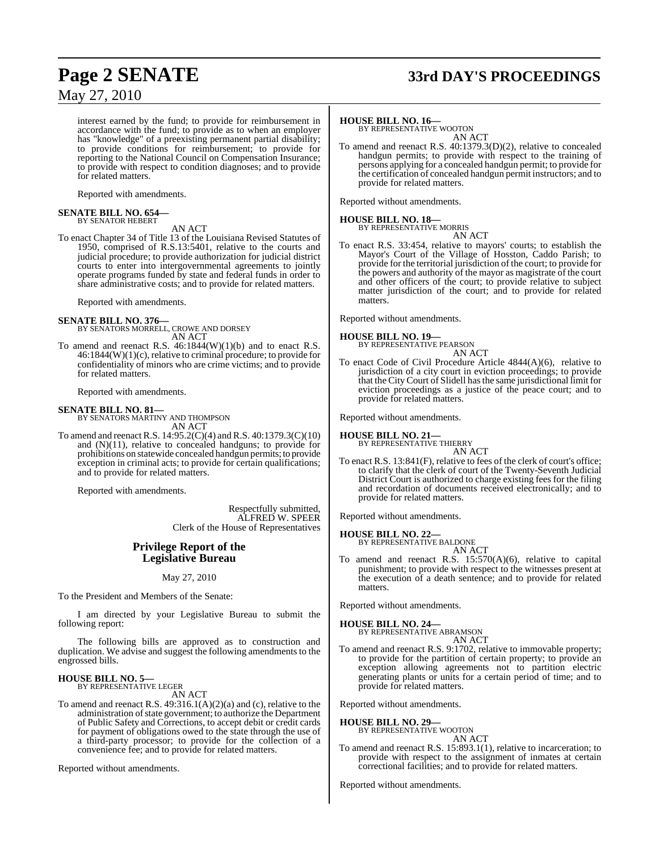## **Page 2 SENATE 33rd DAY'S PROCEEDINGS**

May 27, 2010

interest earned by the fund; to provide for reimbursement in accordance with the fund; to provide as to when an employer has "knowledge" of a preexisting permanent partial disability; to provide conditions for reimbursement; to provide for reporting to the National Council on Compensation Insurance; to provide with respect to condition diagnoses; and to provide for related matters.

Reported with amendments.

#### **SENATE BILL NO. 654—** BY SENATOR HEBERT

AN ACT

To enact Chapter 34 of Title 13 of the Louisiana Revised Statutes of 1950, comprised of R.S.13:5401, relative to the courts and judicial procedure; to provide authorization for judicial district courts to enter into intergovernmental agreements to jointly operate programs funded by state and federal funds in order to share administrative costs; and to provide for related matters.

Reported with amendments.

#### **SENATE BILL NO. 376—**

- BY SENATORS MORRELL, CROWE AND DORSEY AN ACT
- To amend and reenact R.S. 46:1844(W)(1)(b) and to enact R.S. 46:1844(W)(1)(c), relative to criminal procedure; to provide for confidentiality of minors who are crime victims; and to provide for related matters.

Reported with amendments.

**SENATE BILL NO. 81—** BY SENATORS MARTINY AND THOMPSON AN ACT

To amend and reenact R.S. 14:95.2(C)(4) and R.S. 40:1379.3(C)(10) and (N)(11), relative to concealed handguns; to provide for prohibitions on statewide concealed handgun permits; to provide exception in criminal acts; to provide for certain qualifications; and to provide for related matters.

Reported with amendments.

Respectfully submitted, ALFRED W. SPEER Clerk of the House of Representatives

#### **Privilege Report of the Legislative Bureau**

#### May 27, 2010

To the President and Members of the Senate:

I am directed by your Legislative Bureau to submit the following report:

The following bills are approved as to construction and duplication. We advise and suggest the following amendments to the engrossed bills.

#### **HOUSE BILL NO. 5—** BY REPRESENTATIVE LEGER

AN ACT

To amend and reenact R.S.  $49:316.1(A)(2)(a)$  and (c), relative to the administration of state government; to authorize the Department of Public Safety and Corrections, to accept debit or credit cards for payment of obligations owed to the state through the use of a third-party processor; to provide for the collection of a convenience fee; and to provide for related matters.

Reported without amendments.

#### **HOUSE BILL NO. 16—**

BY REPRESENTATIVE WOOTON AN ACT

To amend and reenact R.S. 40:1379.3(D)(2), relative to concealed handgun permits; to provide with respect to the training of persons applying for a concealed handgun permit; to provide for the certification of concealed handgun permit instructors; and to provide for related matters.

Reported without amendments.

### **HOUSE BILL NO. 18—** BY REPRESENTATIVE MORRIS

AN ACT To enact R.S. 33:454, relative to mayors' courts; to establish the Mayor's Court of the Village of Hosston, Caddo Parish; to provide for the territorial jurisdiction of the court; to provide for the powers and authority of the mayor as magistrate of the court and other officers of the court; to provide relative to subject matter jurisdiction of the court; and to provide for related matters.

Reported without amendments.

#### **HOUSE BILL NO. 19—** BY REPRESENTATIVE PEARSON

AN ACT

To enact Code of Civil Procedure Article 4844(A)(6), relative to jurisdiction of a city court in eviction proceedings; to provide that the CityCourt of Slidell hasthe same jurisdictional limit for eviction proceedings as a justice of the peace court; and to provide for related matters.

Reported without amendments.

**HOUSE BILL NO. 21—** BY REPRESENTATIVE THIERRY AN ACT

To enact R.S. 13:841(F), relative to fees of the clerk of court's office; to clarify that the clerk of court of the Twenty-Seventh Judicial District Court is authorized to charge existing fees for the filing and recordation of documents received electronically; and to provide for related matters.

Reported without amendments.

### **HOUSE BILL NO. 22—** BY REPRESENTATIVE BALDONE

AN ACT

To amend and reenact R.S. 15:570(A)(6), relative to capital punishment; to provide with respect to the witnesses present at the execution of a death sentence; and to provide for related matters.

Reported without amendments.

### **HOUSE BILL NO. 24—** BY REPRESENTATIVE ABRAMSON

AN ACT To amend and reenact R.S. 9:1702, relative to immovable property; to provide for the partition of certain property; to provide an exception allowing agreements not to partition electric generating plants or units for a certain period of time; and to provide for related matters.

Reported without amendments.

### **HOUSE BILL NO. 29—** BY REPRESENTATIVE WOOTON

AN ACT

To amend and reenact R.S. 15:893.1(1), relative to incarceration; to provide with respect to the assignment of inmates at certain correctional facilities; and to provide for related matters.

Reported without amendments.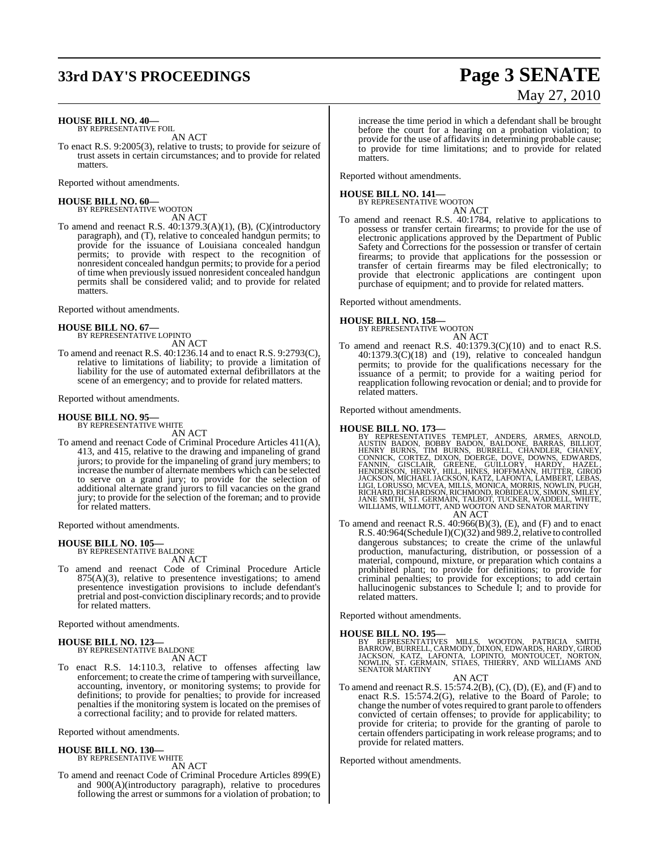### **33rd DAY'S PROCEEDINGS Page 3 SENATE**

#### **HOUSE BILL NO. 40—**

BY REPRESENTATIVE FOIL AN ACT

To enact R.S. 9:2005(3), relative to trusts; to provide for seizure of trust assets in certain circumstances; and to provide for related matters.

Reported without amendments.

#### **HOUSE BILL NO. 60—** BY REPRESENTATIVE WOOTON

AN ACT

To amend and reenact R.S. 40:1379.3(A)(1), (B), (C)(introductory paragraph), and (T), relative to concealed handgun permits; to provide for the issuance of Louisiana concealed handgun permits; to provide with respect to the recognition of nonresident concealed handgun permits; to provide for a period of time when previously issued nonresident concealed handgun permits shall be considered valid; and to provide for related matters.

Reported without amendments.

### **HOUSE BILL NO. 67—** BY REPRESENTATIVE LOPINTO

AN ACT

To amend and reenact R.S. 40:1236.14 and to enact R.S. 9:2793(C), relative to limitations of liability; to provide a limitation of liability for the use of automated external defibrillators at the scene of an emergency; and to provide for related matters.

Reported without amendments.

#### **HOUSE BILL NO. 95—**

BY REPRESENTATIVE WHITE AN ACT

To amend and reenact Code of Criminal Procedure Articles 411(A), 413, and 415, relative to the drawing and impaneling of grand jurors; to provide for the impaneling of grand jury members; to increase the number of alternate members which can be selected to serve on a grand jury; to provide for the selection of additional alternate grand jurors to fill vacancies on the grand jury; to provide for the selection of the foreman; and to provide for related matters.

Reported without amendments.

#### **HOUSE BILL NO. 105—** BY REPRESENTATIVE BALDONE

AN ACT

To amend and reenact Code of Criminal Procedure Article  $875(A)(3)$ , relative to presentence investigations; to amend presentence investigation provisions to include defendant's pretrial and post-conviction disciplinary records; and to provide for related matters.

Reported without amendments.

### **HOUSE BILL NO. 123—**

BY REPRESENTATIVE BALDONE AN ACT

To enact R.S. 14:110.3, relative to offenses affecting law enforcement; to create the crime of tampering with surveillance, accounting, inventory, or monitoring systems; to provide for definitions; to provide for penalties; to provide for increased penalties if the monitoring system is located on the premises of a correctional facility; and to provide for related matters.

Reported without amendments.

#### **HOUSE BILL NO. 130—** BY REPRESENTATIVE WHITE

AN ACT

To amend and reenact Code of Criminal Procedure Articles 899(E) and 900(A)(introductory paragraph), relative to procedures following the arrest or summons for a violation of probation; to

# May 27, 2010

increase the time period in which a defendant shall be brought before the court for a hearing on a probation violation; to provide for the use of affidavits in determining probable cause; to provide for time limitations; and to provide for related matters.

Reported without amendments.

### **HOUSE BILL NO. 141—** BY REPRESENTATIVE WOOTON

AN ACT

To amend and reenact R.S. 40:1784, relative to applications to possess or transfer certain firearms; to provide for the use of electronic applications approved by the Department of Public Safety and Corrections for the possession or transfer of certain firearms; to provide that applications for the possession or transfer of certain firearms may be filed electronically; to provide that electronic applications are contingent upon purchase of equipment; and to provide for related matters.

Reported without amendments.

#### **HOUSE BILL NO. 158—**

BY REPRESENTATIVE WOOTON AN ACT

To amend and reenact R.S. 40:1379.3(C)(10) and to enact R.S.  $40:1379.3(C)(18)$  and  $(19)$ , relative to concealed handgun permits; to provide for the qualifications necessary for the issuance of a permit; to provide for a waiting period for reapplication following revocation or denial; and to provide for related matters.

Reported without amendments.

HOUSE BILL NO. 173—<br>BY REPRESENTATIVES TEMPLET, ANDERS, ARMES, ARNOLD,<br>AUSTIN BADON, BOBBY BADON, BALDONE, BARRAS, BILLIOT,<br>HENRY BURNS, TIM BURNS, BURRELL, CHANDLER, CHANEY,<br>CONNICK, CORTEZ, DIXON, DOERGE, DOVE, DOWNS, ED

AN ACT

To amend and reenact R.S. 40:966(B)(3), (E), and (F) and to enact R.S. 40:964(Schedule I)(C)(32) and 989.2, relative to controlled dangerous substances; to create the crime of the unlawful production, manufacturing, distribution, or possession of a material, compound, mixture, or preparation which contains a prohibited plant; to provide for definitions; to provide for criminal penalties; to provide for exceptions; to add certain hallucinogenic substances to Schedule I; and to provide for related matters.

Reported without amendments.

#### **HOUSE BILL NO. 195—**

BY REPRESENTATIVES MILLS, WOOTON, PATRICIA SMITH,<br>BARROW,BURRELL,CARMODY,DIXON,EDWARDS,HARDY,GIROD<br>JACKSON, KATZ, LAFONTA, LOPINTO, MONTOUCET,NORTON,<br>NOWLIN, ST. GERMAIN, STIAES,THIERRY,AND WILLIAMSAND SENATOR MARTINY

AN ACT

To amend and reenact R.S. 15:574.2(B), (C), (D), (E), and (F) and to enact R.S. 15:574.2(G), relative to the Board of Parole; to change the number of votes required to grant parole to offenders convicted of certain offenses; to provide for applicability; to provide for criteria; to provide for the granting of parole to certain offenders participating in work release programs; and to provide for related matters.

Reported without amendments.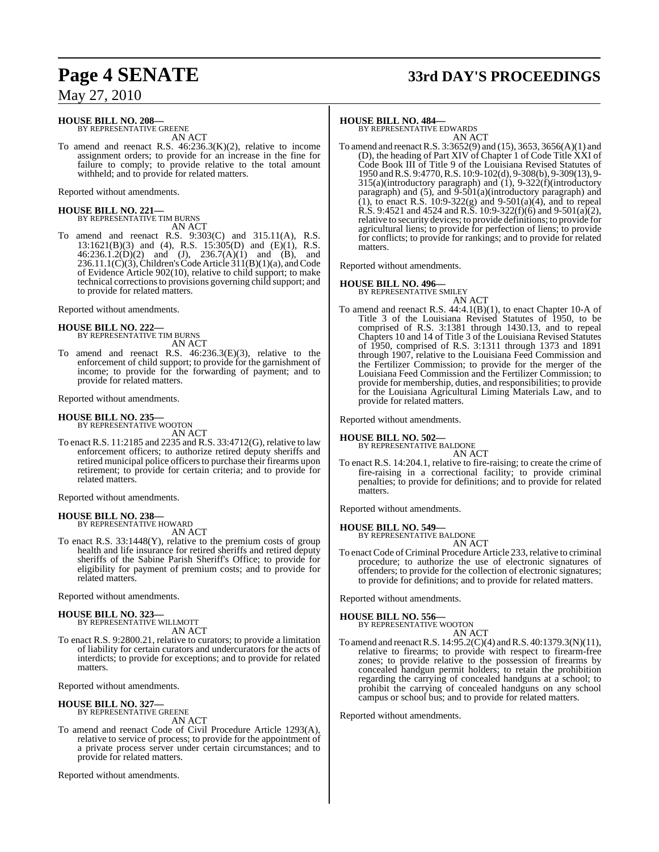# **Page 4 SENATE 33rd DAY'S PROCEEDINGS**

May 27, 2010

#### **HOUSE BILL NO. 208—**

BY REPRESENTATIVE GREENE AN ACT

To amend and reenact R.S. 46:236.3(K)(2), relative to income assignment orders; to provide for an increase in the fine for failure to comply; to provide relative to the total amount withheld; and to provide for related matters.

Reported without amendments.

# **HOUSE BILL NO. 221—** BY REPRESENTATIVE TIM BURNS

AN ACT To amend and reenact R.S. 9:303(C) and 315.11(A), R.S. 13:1621(B)(3) and (4), R.S. 15:305(D) and (E)(1), R.S.  $46:236.1.2(D)(2)$  and  $(J), 236.7(A)(1)$  and  $(B),$  and 236.11.1(C)(3), Children's Code Article 311(B)(1)(a), and Code

of Evidence Article 902(10), relative to child support; to make technical correctionsto provisions governing child support; and to provide for related matters.

Reported without amendments.

### **HOUSE BILL NO. 222—** BY REPRESENTATIVE TIM BURNS

AN ACT

To amend and reenact R.S. 46:236.3(E)(3), relative to the enforcement of child support; to provide for the garnishment of income; to provide for the forwarding of payment; and to provide for related matters.

Reported without amendments.

#### **HOUSE BILL NO. 235—**

BY REPRESENTATIVE WOOTON AN ACT

To enact R.S. 11:2185 and 2235 and R.S. 33:4712(G), relative to law enforcement officers; to authorize retired deputy sheriffs and retired municipal police officers to purchase their firearms upon retirement; to provide for certain criteria; and to provide for related matters.

Reported without amendments.

## **HOUSE BILL NO. 238—** BY REPRESENTATIVE HOWARD

AN ACT

To enact R.S. 33:1448(Y), relative to the premium costs of group health and life insurance for retired sheriffs and retired deputy sheriffs of the Sabine Parish Sheriff's Office; to provide for eligibility for payment of premium costs; and to provide for related matters.

Reported without amendments.

### **HOUSE BILL NO. 323—** BY REPRESENTATIVE WILLMOTT

AN ACT

To enact R.S. 9:2800.21, relative to curators; to provide a limitation of liability for certain curators and undercurators for the acts of interdicts; to provide for exceptions; and to provide for related matters.

Reported without amendments.

#### **HOUSE BILL NO. 327—**

BY REPRESENTATIVE GREENE AN ACT

To amend and reenact Code of Civil Procedure Article 1293(A), relative to service of process; to provide for the appointment of a private process server under certain circumstances; and to provide for related matters.

Reported without amendments.

#### **HOUSE BILL NO. 484—**

BY REPRESENTATIVE EDWARDS AN ACT

To amend and reenactR.S. 3:3652(9) and (15), 3653, 3656(A)(1) and (D), the heading of Part XIV of Chapter 1 of Code Title XXI of Code Book III of Title 9 of the Louisiana Revised Statutes of 1950 andR.S. 9:4770,R.S. 10:9-102(d), 9-308(b), 9-309(13), 9- 315(a)(introductory paragraph) and (1), 9-322(f)(introductory paragraph) and  $(5)$ , and  $\overline{9}$ - $\overline{501(a)}$ (introductory paragraph) and (1), to enact R.S.  $10:9-322(g)$  and  $9-501(a)(4)$ , and to repeal R.S. 9:4521 and 4524 and R.S. 10:9-322(f)(6) and 9-501(a)(2), relative to security devices; to provide definitions; to provide for agricultural liens; to provide for perfection of liens; to provide for conflicts; to provide for rankings; and to provide for related matters.

Reported without amendments.

#### **HOUSE BILL NO. 496—**

BY REPRESENTATIVE SMILEY

- AN ACT
- To amend and reenact R.S. 44:4.1(B)(1), to enact Chapter 10-A of Title 3 of the Louisiana Revised Statutes of 1950, to be comprised of R.S. 3:1381 through 1430.13, and to repeal Chapters 10 and 14 of Title 3 of the Louisiana Revised Statutes of 1950, comprised of R.S. 3:1311 through 1373 and 1891 through 1907, relative to the Louisiana Feed Commission and the Fertilizer Commission; to provide for the merger of the Louisiana Feed Commission and the Fertilizer Commission; to provide for membership, duties, and responsibilities; to provide for the Louisiana Agricultural Liming Materials Law, and to provide for related matters.

Reported without amendments.

#### **HOUSE BILL NO. 502—**

BY REPRESENTATIVE BALDONE AN ACT

To enact R.S. 14:204.1, relative to fire-raising; to create the crime of fire-raising in a correctional facility; to provide criminal penalties; to provide for definitions; and to provide for related matters.

Reported without amendments.

### **HOUSE BILL NO. 549—** BY REPRESENTATIVE BALDONE

AN ACT

To enact Code of Criminal Procedure Article 233, relative to criminal procedure; to authorize the use of electronic signatures of offenders; to provide for the collection of electronic signatures; to provide for definitions; and to provide for related matters.

Reported without amendments.

### **HOUSE BILL NO. 556—**

BY REPRESENTATIVE WOOTON AN ACT

To amend and reenactR.S. 14:95.2(C)(4) and R.S. 40:1379.3(N)(11), relative to firearms; to provide with respect to firearm-free zones; to provide relative to the possession of firearms by concealed handgun permit holders; to retain the prohibition regarding the carrying of concealed handguns at a school; to prohibit the carrying of concealed handguns on any school campus or school bus; and to provide for related matters.

Reported without amendments.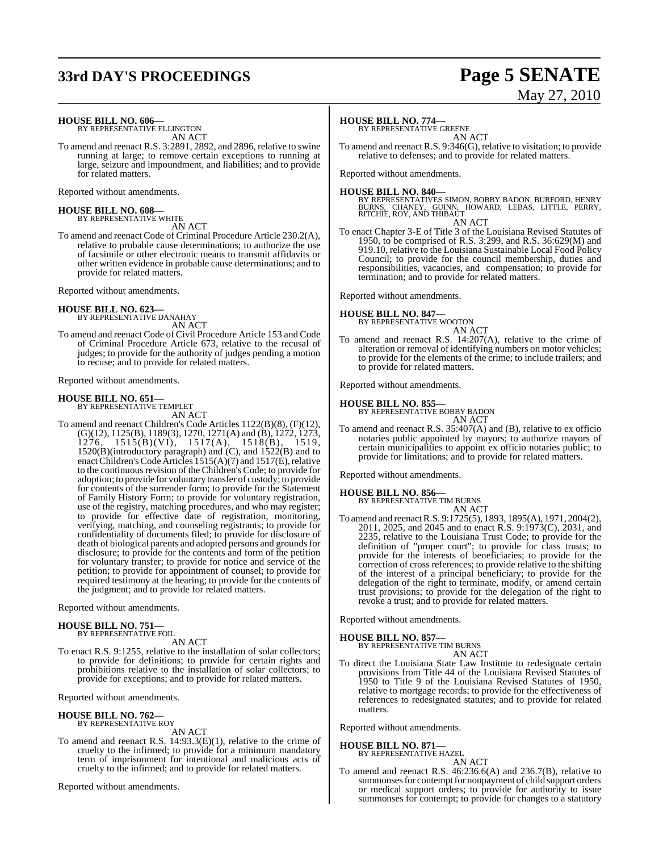### **33rd DAY'S PROCEEDINGS Page 5 SENATE**

# May 27, 2010

**HOUSE BILL NO. 606—** BY REPRESENTATIVE ELLINGTON

AN ACT

To amend and reenact R.S. 3:2891, 2892, and 2896, relative to swine running at large; to remove certain exceptions to running at large, seizure and impoundment, and liabilities; and to provide for related matters.

Reported without amendments.

**HOUSE BILL NO. 608—** BY REPRESENTATIVE WHITE

AN ACT

To amend and reenact Code of Criminal Procedure Article 230.2(A), relative to probable cause determinations; to authorize the use of facsimile or other electronic means to transmit affidavits or other written evidence in probable cause determinations; and to provide for related matters.

Reported without amendments.

#### **HOUSE BILL NO. 623—**

BY REPRESENTATIVE DANAHAY AN ACT

To amend and reenact Code of Civil Procedure Article 153 and Code of Criminal Procedure Article 673, relative to the recusal of judges; to provide for the authority of judges pending a motion to recuse; and to provide for related matters.

Reported without amendments.

### **HOUSE BILL NO. 651—** BY REPRESENTATIVE TEMPLET

AN ACT

To amend and reenact Children's Code Articles 1122(B)(8), (F)(12), (G)(12), 1125(B), 1189(3), 1270, 1271(A) and (B), 1272, 1273, 1276, 1515(B)(VI), 1517(A), 1518(B), 1519, 1520(B)(introductory paragraph) and (C), and 1522(B) and to enact Children's Code Articles 1515(A)(7) and 1517(E), relative to the continuous revision of the Children's Code; to provide for adoption; to provide for voluntary transfer of custody; to provide for contents of the surrender form; to provide for the Statement of Family History Form; to provide for voluntary registration, use of the registry, matching procedures, and who may register; to provide for effective date of registration, monitoring, verifying, matching, and counseling registrants; to provide for confidentiality of documents filed; to provide for disclosure of death of biological parents and adopted persons and grounds for disclosure; to provide for the contents and form of the petition for voluntary transfer; to provide for notice and service of the petition; to provide for appointment of counsel; to provide for required testimony at the hearing; to provide for the contents of the judgment; and to provide for related matters.

Reported without amendments.

# **HOUSE BILL NO. 751—** BY REPRESENTATIVE FOIL

#### AN ACT

To enact R.S. 9:1255, relative to the installation of solar collectors; to provide for definitions; to provide for certain rights and prohibitions relative to the installation of solar collectors; to provide for exceptions; and to provide for related matters.

Reported without amendments.

#### **HOUSE BILL NO. 762—** BY REPRESENTATIVE ROY

AN ACT

To amend and reenact R.S. 14:93.3(E)(1), relative to the crime of cruelty to the infirmed; to provide for a minimum mandatory term of imprisonment for intentional and malicious acts of cruelty to the infirmed; and to provide for related matters.

Reported without amendments.

#### **HOUSE BILL NO. 774—**

BY REPRESENTATIVE GREENE

AN ACT To amend and reenact R.S. 9:346(G), relative to visitation; to provide relative to defenses; and to provide for related matters.

Reported without amendments.

**HOUSE BILL NO. 840—**<br>BY REPRESENTATIVES SIMON, BOBBY BADON, BURFORD, HENRY<br>BURNS, CHANEY, GUINN, HOWARD, LEBAS, LITTLE, PERRY,<br>RITCHIE, ROY, AND THIBAUT AN ACT

To enact Chapter 3-E of Title 3 of the Louisiana Revised Statutes of 1950, to be comprised of R.S. 3:299, and R.S. 36:629(M) and 919.10, relative to the Louisiana Sustainable Local Food Policy Council; to provide for the council membership, duties and responsibilities, vacancies, and compensation; to provide for termination; and to provide for related matters.

Reported without amendments.

#### **HOUSE BILL NO. 847—**

BY REPRESENTATIVE WOOTON AN ACT

To amend and reenact R.S. 14:207(A), relative to the crime of alteration or removal of identifying numbers on motor vehicles; to provide for the elements of the crime; to include trailers; and to provide for related matters.

Reported without amendments.

### **HOUSE BILL NO. 855—** BY REPRESENTATIVE BOBBY BADON

AN ACT

To amend and reenact R.S. 35:407(A) and (B), relative to ex officio notaries public appointed by mayors; to authorize mayors of certain municipalities to appoint ex officio notaries public; to provide for limitations; and to provide for related matters.

Reported without amendments.

### **HOUSE BILL NO. 856—** BY REPRESENTATIVE TIM BURNS

AN ACT

To amend and reenactR.S. 9:1725(5), 1893, 1895(A), 1971, 2004(2), 2011, 2025, and 2045 and to enact R.S. 9:1973(C), 2031, and 2235, relative to the Louisiana Trust Code; to provide for the definition of "proper court"; to provide for class trusts; to provide for the interests of beneficiaries; to provide for the correction of cross references; to provide relative to the shifting of the interest of a principal beneficiary; to provide for the delegation of the right to terminate, modify, or amend certain trust provisions; to provide for the delegation of the right to revoke a trust; and to provide for related matters.

Reported without amendments.

#### **HOUSE BILL NO. 857—**

BY REPRESENTATIVE TIM BURNS AN ACT

To direct the Louisiana State Law Institute to redesignate certain provisions from Title 44 of the Louisiana Revised Statutes of 1950 to Title 9 of the Louisiana Revised Statutes of 1950, relative to mortgage records; to provide for the effectiveness of references to redesignated statutes; and to provide for related matters.

Reported without amendments.

#### **HOUSE BILL NO. 871—**

BY REPRESENTATIVE HAZEL AN ACT

To amend and reenact R.S. 46:236.6(A) and 236.7(B), relative to summonses for contempt for nonpayment of child support orders or medical support orders; to provide for authority to issue summonses for contempt; to provide for changes to a statutory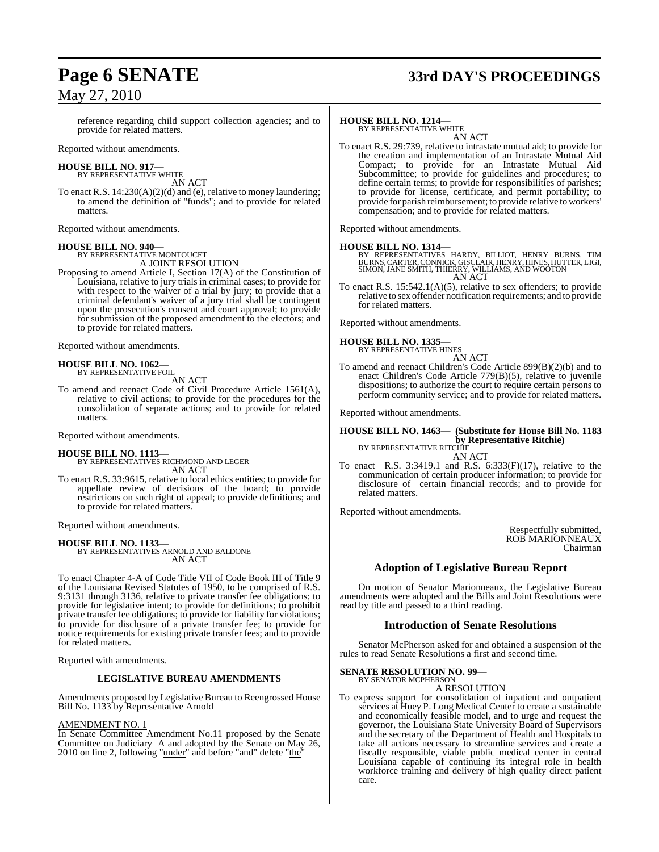### May 27, 2010

# **Page 6 SENATE 33rd DAY'S PROCEEDINGS**

reference regarding child support collection agencies; and to provide for related matters.

Reported without amendments.

#### **HOUSE BILL NO. 917—** BY REPRESENTATIVE WHITE

AN ACT

To enact R.S. 14:230(A)(2)(d) and (e), relative to money laundering; to amend the definition of "funds"; and to provide for related matters.

Reported without amendments.

#### **HOUSE BILL NO. 940—** BY REPRESENTATIVE MONTOUCET A JOINT RESOLUTION

Proposing to amend Article I, Section 17(A) of the Constitution of Louisiana, relative to jury trials in criminal cases; to provide for with respect to the waiver of a trial by jury; to provide that a criminal defendant's waiver of a jury trial shall be contingent upon the prosecution's consent and court approval; to provide for submission of the proposed amendment to the electors; and to provide for related matters.

Reported without amendments.

## **HOUSE BILL NO. 1062—** BY REPRESENTATIVE FOIL

AN ACT

To amend and reenact Code of Civil Procedure Article 1561(A), relative to civil actions; to provide for the procedures for the consolidation of separate actions; and to provide for related matters.

Reported without amendments.

#### **HOUSE BILL NO. 1113—**

BY REPRESENTATIVES RICHMOND AND LEGER AN ACT

To enact R.S. 33:9615, relative to local ethics entities; to provide for appellate review of decisions of the board; to provide restrictions on such right of appeal; to provide definitions; and to provide for related matters.

Reported without amendments.

#### **HOUSE BILL NO. 1133—**

BY REPRESENTATIVES ARNOLD AND BALDONE AN ACT

To enact Chapter 4-A of Code Title VII of Code Book III of Title 9 of the Louisiana Revised Statutes of 1950, to be comprised of R.S. 9:3131 through 3136, relative to private transfer fee obligations; to provide for legislative intent; to provide for definitions; to prohibit private transfer fee obligations; to provide for liability for violations; to provide for disclosure of a private transfer fee; to provide for notice requirements for existing private transfer fees; and to provide for related matters.

Reported with amendments.

#### **LEGISLATIVE BUREAU AMENDMENTS**

Amendments proposed by Legislative Bureau to Reengrossed House Bill No. 1133 by Representative Arnold

#### AMENDMENT NO. 1

In Senate Committee Amendment No.11 proposed by the Senate Committee on Judiciary A and adopted by the Senate on May 26, 2010 on line 2, following " $under$ " and before "and" delete " $the$ <sup>"</sup>

#### **HOUSE BILL NO. 1214—**

BY REPRESENTATIVE WHITE AN ACT

To enact R.S. 29:739, relative to intrastate mutual aid; to provide for the creation and implementation of an Intrastate Mutual Aid Compact; to provide for an Intrastate Mutual Aid Subcommittee; to provide for guidelines and procedures; to define certain terms; to provide for responsibilities of parishes; to provide for license, certificate, and permit portability; to provide for parish reimbursement; to provide relative to workers' compensation; and to provide for related matters.

Reported without amendments.

**HOUSE BILL NO. 1314**<br>BY REPRESENTATIVES HARDY, BILLIOT, HENRY BURNS, TIM<br>BURNS, CARTER, CONNICK, GISCLAIR, HENRY, HINES, HUTTER, LIGI,<br>SIMON, JANE SMITH, THIERRY, WILLIAMS, AND WOOTON<br>AN ACT

To enact R.S. 15:542.1(A)(5), relative to sex offenders; to provide To enact R.S.  $15:542.1(A)(5)$ , relative to sex offenders; to provide relative to sex offender notification requirements; and to provide for related matters.

Reported without amendments.

### **HOUSE BILL NO. 1335—** BY REPRESENTATIVE HINES

AN ACT

To amend and reenact Children's Code Article 899(B)(2)(b) and to enact Children's Code Article 779(B)(5), relative to juvenile dispositions; to authorize the court to require certain persons to perform community service; and to provide for related matters.

Reported without amendments.

#### **HOUSE BILL NO. 1463— (Substitute for House Bill No. 1183 by Representative Ritchie)** BY REPRESENTATIVE RITCHIE AN ACT

To enact R.S. 3:3419.1 and R.S. 6:333(F)(17), relative to the communication of certain producer information; to provide for disclosure of certain financial records; and to provide for related matters.

Reported without amendments.

Respectfully submitted, ROB MARIONNEAUX Chairman

### **Adoption of Legislative Bureau Report**

On motion of Senator Marionneaux, the Legislative Bureau amendments were adopted and the Bills and Joint Resolutions were read by title and passed to a third reading.

#### **Introduction of Senate Resolutions**

Senator McPherson asked for and obtained a suspension of the rules to read Senate Resolutions a first and second time.

#### **SENATE RESOLUTION NO. 99—** BY SENATOR MCPHERSON

### A RESOLUTION

To express support for consolidation of inpatient and outpatient services at Huey P. Long Medical Center to create a sustainable and economically feasible model, and to urge and request the governor, the Louisiana State University Board of Supervisors and the secretary of the Department of Health and Hospitals to take all actions necessary to streamline services and create a fiscally responsible, viable public medical center in central Louisiana capable of continuing its integral role in health workforce training and delivery of high quality direct patient care.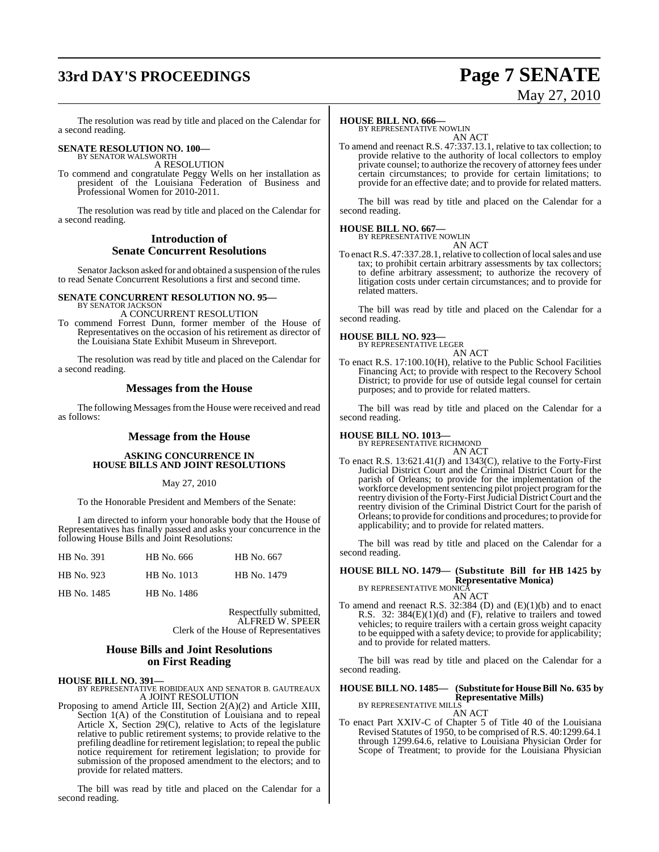## **33rd DAY'S PROCEEDINGS Page 7 SENATE**

# May 27, 2010

The resolution was read by title and placed on the Calendar for a second reading.

### **SENATE RESOLUTION NO. 100—** BY SENATOR WALSWORTH

A RESOLUTION

To commend and congratulate Peggy Wells on her installation as president of the Louisiana Federation of Business and Professional Women for 2010-2011.

The resolution was read by title and placed on the Calendar for a second reading.

#### **Introduction of Senate Concurrent Resolutions**

Senator Jackson asked for and obtained a suspension of the rules to read Senate Concurrent Resolutions a first and second time.

#### **SENATE CONCURRENT RESOLUTION NO. 95—** BY SENATOR JACKSON

A CONCURRENT RESOLUTION

To commend Forrest Dunn, former member of the House of Representatives on the occasion of his retirement as director of the Louisiana State Exhibit Museum in Shreveport.

The resolution was read by title and placed on the Calendar for a second reading.

### **Messages from the House**

The following Messages from the House were received and read as follows:

### **Message from the House**

#### **ASKING CONCURRENCE IN HOUSE BILLS AND JOINT RESOLUTIONS**

#### May 27, 2010

To the Honorable President and Members of the Senate:

I am directed to inform your honorable body that the House of Representatives has finally passed and asks your concurrence in the following House Bills and Joint Resolutions:

| HB No. 391  | HB No. 666  | HB No. 667  |
|-------------|-------------|-------------|
| HB No. 923  | HB No. 1013 | HB No. 1479 |
| HB No. 1485 | HB No. 1486 |             |

Respectfully submitted, ALFRED W. SPEER Clerk of the House of Representatives

### **House Bills and Joint Resolutions on First Reading**

#### **HOUSE BILL NO. 391—**

BY REPRESENTATIVE ROBIDEAUX AND SENATOR B. GAUTREAUX A JOINT RESOLUTION

Proposing to amend Article III, Section 2(A)(2) and Article XIII, Section 1(A) of the Constitution of Louisiana and to repeal Article X, Section 29(C), relative to Acts of the legislature relative to public retirement systems; to provide relative to the prefiling deadline for retirement legislation; to repeal the public notice requirement for retirement legislation; to provide for submission of the proposed amendment to the electors; and to provide for related matters.

The bill was read by title and placed on the Calendar for a second reading.

### **HOUSE BILL NO. 666—**

BY REPRESENTATIVE NOWLIN AN ACT

To amend and reenact R.S. 47:337.13.1, relative to tax collection; to provide relative to the authority of local collectors to employ private counsel; to authorize the recovery of attorney fees under certain circumstances; to provide for certain limitations; to provide for an effective date; and to provide for related matters.

The bill was read by title and placed on the Calendar for a second reading.

### **HOUSE BILL NO. 667—**

BY REPRESENTATIVE NOWLIN AN ACT

To enact R.S. 47:337.28.1, relative to collection of local sales and use tax; to prohibit certain arbitrary assessments by tax collectors; to define arbitrary assessment; to authorize the recovery of litigation costs under certain circumstances; and to provide for related matters.

The bill was read by title and placed on the Calendar for a second reading.

# **HOUSE BILL NO. 923—** BY REPRESENTATIVE LEGER

AN ACT To enact R.S. 17:100.10(H), relative to the Public School Facilities Financing Act; to provide with respect to the Recovery School District; to provide for use of outside legal counsel for certain purposes; and to provide for related matters.

The bill was read by title and placed on the Calendar for a second reading.

## **HOUSE BILL NO. 1013—** BY REPRESENTATIVE RICHMOND

AN ACT

To enact R.S. 13:621.41(J) and 1343(C), relative to the Forty-First Judicial District Court and the Criminal District Court for the parish of Orleans; to provide for the implementation of the workforce development sentencing pilot project program for the reentry division of the Forty-First Judicial District Court and the reentry division of the Criminal District Court for the parish of Orleans; to provide for conditions and procedures; to provide for applicability; and to provide for related matters.

The bill was read by title and placed on the Calendar for a second reading.

#### **HOUSE BILL NO. 1479— (Substitute Bill for HB 1425 by Representative Monica)** BY REPRESENTATIVE MONICA

AN ACT

To amend and reenact R.S. 32:384 (D) and (E)(1)(b) and to enact R.S. 32: 384(E)(1)(d) and (F), relative to trailers and towed vehicles; to require trailers with a certain gross weight capacity to be equipped with a safety device; to provide for applicability; and to provide for related matters.

The bill was read by title and placed on the Calendar for a second reading.

#### **HOUSE BILL NO. 1485— (Substitute for HouseBill No. 635 by Representative Mills)**

BY REPRESENTATIVE MILLS AN ACT

To enact Part XXIV-C of Chapter 5 of Title 40 of the Louisiana Revised Statutes of 1950, to be comprised of R.S. 40:1299.64.1 through 1299.64.6, relative to Louisiana Physician Order for Scope of Treatment; to provide for the Louisiana Physician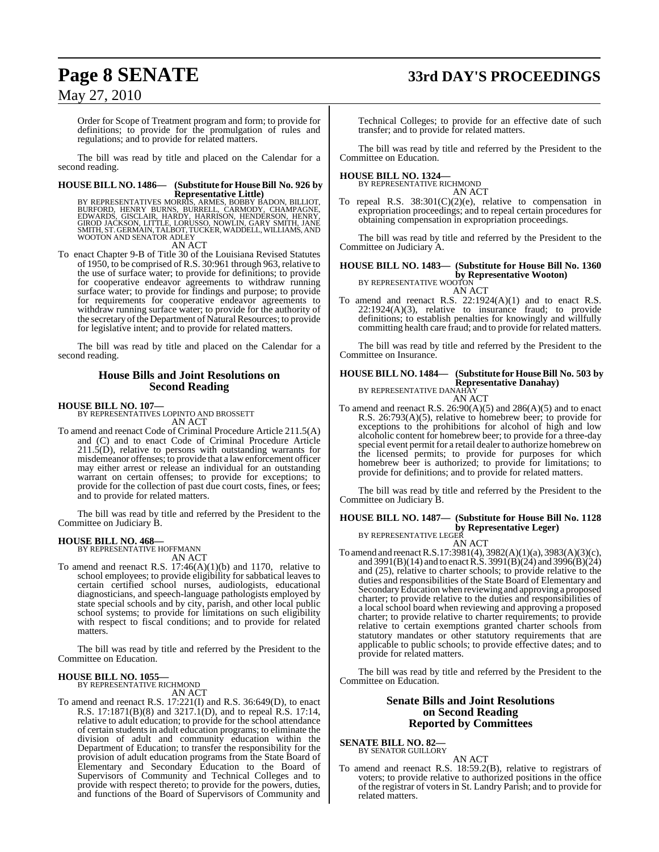### **Page 8 SENATE 33rd DAY'S PROCEEDINGS**

### May 27, 2010

Order for Scope of Treatment program and form; to provide for definitions; to provide for the promulgation of rules and regulations; and to provide for related matters.

The bill was read by title and placed on the Calendar for a second reading.

## **HOUSE BILL NO. 1486— (Substitute for HouseBill No. 926 by**

**Representative Little)**<br>BURFORD, HENRY BURNS, SURRES, BOBBY BADON, BILLIOT,<br>BURFORD, HENRY BURNS, BURRELL, CARMODY, CHAMPAGNE,<br>GIROD JACKSON, LITTLE, LORUSSO, NOWLIN, GARY SMITH, JANE<br>SMITH, ST. GERMAIN, TALBOT, TUCKER, W WOOTON AND SENATOR ADLEY

AN ACT

To enact Chapter 9-B of Title 30 of the Louisiana Revised Statutes of 1950, to be comprised of R.S. 30:961 through 963, relative to the use of surface water; to provide for definitions; to provide for cooperative endeavor agreements to withdraw running surface water; to provide for findings and purpose; to provide for requirements for cooperative endeavor agreements to withdraw running surface water; to provide for the authority of the secretary of the Department of Natural Resources; to provide for legislative intent; and to provide for related matters.

The bill was read by title and placed on the Calendar for a second reading.

#### **House Bills and Joint Resolutions on Second Reading**

#### **HOUSE BILL NO. 107—**

BY REPRESENTATIVES LOPINTO AND BROSSETT AN ACT

To amend and reenact Code of Criminal Procedure Article 211.5(A) and (C) and to enact Code of Criminal Procedure Article  $211.5(D)$ , relative to persons with outstanding warrants for misdemeanor offenses; to provide that a lawenforcement officer may either arrest or release an individual for an outstanding warrant on certain offenses; to provide for exceptions; to provide for the collection of past due court costs, fines, or fees; and to provide for related matters.

The bill was read by title and referred by the President to the Committee on Judiciary B.

#### **HOUSE BILL NO. 468—**

BY REPRESENTATIVE HOFFMANN AN ACT

To amend and reenact R.S.  $17:46(A)(1)(b)$  and  $1170$ , relative to school employees; to provide eligibility for sabbatical leaves to certain certified school nurses, audiologists, educational diagnosticians, and speech-language pathologists employed by state special schools and by city, parish, and other local public school systems; to provide for limitations on such eligibility with respect to fiscal conditions; and to provide for related matters.

The bill was read by title and referred by the President to the Committee on Education.

### **HOUSE BILL NO. 1055—** BY REPRESENTATIVE RICHMOND

AN ACT

To amend and reenact R.S. 17:221(I) and R.S. 36:649(D), to enact R.S. 17:1871(B)(8) and 3217.1(D), and to repeal R.S. 17:14, relative to adult education; to provide for the school attendance of certain studentsin adult education programs; to eliminate the division of adult and community education within the Department of Education; to transfer the responsibility for the provision of adult education programs from the State Board of Elementary and Secondary Education to the Board of Supervisors of Community and Technical Colleges and to provide with respect thereto; to provide for the powers, duties, and functions of the Board of Supervisors of Community and

Technical Colleges; to provide for an effective date of such transfer; and to provide for related matters.

The bill was read by title and referred by the President to the Committee on Education.

#### **HOUSE BILL NO. 1324—**

BY REPRESENTATIVE RICHMOND AN ACT

To repeal R.S. 38:301(C)(2)(e), relative to compensation in expropriation proceedings; and to repeal certain procedures for obtaining compensation in expropriation proceedings.

The bill was read by title and referred by the President to the Committee on Judiciary A.

### **HOUSE BILL NO. 1483— (Substitute for House Bill No. 1360 by Representative Wooton)**<br>BY REPRESENTATIVE WOOTON

AN ACT

To amend and reenact R.S. 22:1924(A)(1) and to enact R.S.  $22:1924(A)(3)$ , relative to insurance fraud; to provide definitions; to establish penalties for knowingly and willfully committing health care fraud; and to provide for related matters.

The bill was read by title and referred by the President to the Committee on Insurance.

#### **HOUSE BILL NO. 1484— (Substitute for HouseBill No. 503 by Representative Danahay)** BY REPRESENTATIVE DANAHAY

AN ACT

To amend and reenact R.S. 26:90(A)(5) and 286(A)(5) and to enact R.S. 26:793(A)(5), relative to homebrew beer; to provide for exceptions to the prohibitions for alcohol of high and low alcoholic content for homebrew beer; to provide for a three-day special event permit for a retail dealer to authorize homebrew on the licensed permits; to provide for purposes for which homebrew beer is authorized; to provide for limitations; to provide for definitions; and to provide for related matters.

The bill was read by title and referred by the President to the Committee on Judiciary B.

#### **HOUSE BILL NO. 1487— (Substitute for House Bill No. 1128 by Representative Leger)** BY REPRESENTATIVE LEGER

AN ACT

To amend and reenact R.S.17:3981(4), 3982(A)(1)(a), 3983(A)(3)(c), and 3991(B)(14) and to enact R.S. 3991(B)(24) and 3996(B)(24) and (25), relative to charter schools; to provide relative to the duties and responsibilities of the State Board of Elementary and SecondaryEducation when reviewing and approving a proposed charter; to provide relative to the duties and responsibilities of a local school board when reviewing and approving a proposed charter; to provide relative to charter requirements; to provide relative to certain exemptions granted charter schools from statutory mandates or other statutory requirements that are applicable to public schools; to provide effective dates; and to provide for related matters.

The bill was read by title and referred by the President to the Committee on Education.

#### **Senate Bills and Joint Resolutions on Second Reading Reported by Committees**

**SENATE BILL NO. 82—** BY SENATOR GUILLORY

AN ACT To amend and reenact R.S. 18:59.2(B), relative to registrars of voters; to provide relative to authorized positions in the office of the registrar of voters in St. Landry Parish; and to provide for related matters.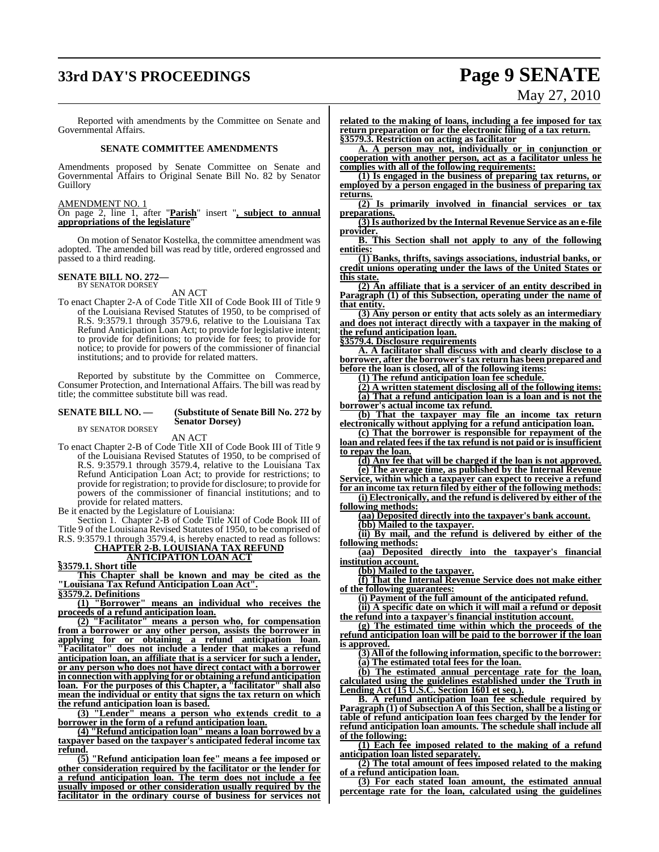### **33rd DAY'S PROCEEDINGS Page 9 SENATE**

# May 27, 2010

Reported with amendments by the Committee on Senate and Governmental Affairs.

#### **SENATE COMMITTEE AMENDMENTS**

Amendments proposed by Senate Committee on Senate and Governmental Affairs to Original Senate Bill No. 82 by Senator Guillory

#### AMENDMENT NO. 1

On page 2, line 1, after "**Parish**" insert "**, subject to annual appropriations of the legislature**"

On motion of Senator Kostelka, the committee amendment was adopted. The amended bill was read by title, ordered engrossed and passed to a third reading.

### **SENATE BILL NO. 272—** BY SENATOR DORSEY

AN ACT

To enact Chapter 2-A of Code Title XII of Code Book III of Title 9 of the Louisiana Revised Statutes of 1950, to be comprised of R.S. 9:3579.1 through 3579.6, relative to the Louisiana Tax Refund Anticipation Loan Act; to provide for legislative intent; to provide for definitions; to provide for fees; to provide for notice; to provide for powers of the commissioner of financial institutions; and to provide for related matters.

Reported by substitute by the Committee on Commerce, Consumer Protection, and International Affairs. The bill was read by title; the committee substitute bill was read.

#### **SENATE BILL NO. — (Substitute of Senate Bill No. 272 by Senator Dorsey)**

BY SENATOR DORSEY AN ACT

To enact Chapter 2-B of Code Title XII of Code Book III of Title 9 of the Louisiana Revised Statutes of 1950, to be comprised of R.S. 9:3579.1 through 3579.4, relative to the Louisiana Tax Refund Anticipation Loan Act; to provide for restrictions; to provide for registration; to provide for disclosure; to provide for powers of the commissioner of financial institutions; and to provide for related matters.

Be it enacted by the Legislature of Louisiana:

Section 1. Chapter 2-B of Code Title XII of Code Book III of Title 9 of the Louisiana Revised Statutes of 1950, to be comprised of R.S. 9:3579.1 through 3579.4, is hereby enacted to read as follows:

**CHAPTER 2-B. LOUISIANA TAX REFUND**

### **ANTICIPATION LOAN ACT**

**§3579.1. Short title**

**This Chapter shall be known and may be cited as the "Louisiana Tax Refund Anticipation Loan Act". §3579.2. Definitions**

**(1) "Borrower" means an individual who receives the proceeds of a refund anticipation loan.**

**(2) "Facilitator" means a person who, for compensation from a borrower or any other person, assists the borrower in applying for or obtaining a refund anticipation loan. "Facilitator" does not include a lender that makes a refund anticipation loan, an affiliate that is a servicer for such a lender, or any person who does not have direct contact with a borrower in connection with applying for or obtaining a refund anticipation loan. For the purposes of this Chapter, a "facilitator" shall also mean the individual or entity that signs the tax return on which the refund anticipation loan is based.**

**(3) "Lender" means a person who extends credit to a borrower in the form of a refund anticipation loan.**

**(4) "Refund anticipation loan" means a loan borrowed by a taxpayer based on the taxpayer's anticipated federal income tax refund.**

**(5) "Refund anticipation loan fee" means a fee imposed or other consideration required by the facilitator or the lender for a refund anticipation loan. The term does not include a fee usually imposed or other consideration usually required by the facilitator in the ordinary course of business for services not** **related to the making of loans, including a fee imposed for tax return preparation or for the electronic filing of a tax return. §3579.3. Restriction on acting as facilitator**

**A. A person may not, individually or in conjunction or cooperation with another person, act as a facilitator unless he complies with all of the following requirements:**

**(1) Is engaged in the business of preparing tax returns, or employed by a person engaged in the business of preparing tax returns.**

**(2) Is primarily involved in financial services or tax preparations.**

**(3) Is authorized by the Internal Revenue Service as an e-file provider.**

**B. This Section shall not apply to any of the following entities:**

**(1) Banks, thrifts, savings associations, industrial banks, or credit unions operating under the laws of the United States or this state.**

**(2) An affiliate that is a servicer of an entity described in Paragraph (1) of this Subsection, operating under the name of that entity.**

**(3) Any person or entity that acts solely as an intermediary and does not interact directly with a taxpayer in the making of the refund anticipation loan.**

**§3579.4. Disclosure requirements**

**A. A facilitator shall discuss with and clearly disclose to a borrower, after the borrower'stax return has been prepared and before the loan is closed, all of the following items:**

**(1) The refund anticipation loan fee schedule.**

**(2) A written statement disclosing all of the following items: (a) That a refund anticipation loan is a loan and is not the borrower's actual income tax refund.**

**(b) That the taxpayer may file an income tax return electronically without applying for a refund anticipation loan.**

**(c) That the borrower is responsible for repayment of the loan and related fees if the tax refund is not paid or is insufficient to repay the loan.**

**(d) Any fee that will be charged if the loan is not approved.**

**(e) The average time, as published by the Internal Revenue Service, within which a taxpayer can expect to receive a refund for an income tax return filed by either of the following methods:**

**(i) Electronically, and the refund is delivered by either of the following methods:**

**(aa) Deposited directly into the taxpayer's bank account. (bb) Mailed to the taxpayer.**

**(ii) By mail, and the refund is delivered by either of the following methods:**

**(aa) Deposited directly into the taxpayer's financial institution account.**

**(bb) Mailed to the taxpayer.**

**(f) That the Internal Revenue Service does not make either of the following guarantees:**

**(i) Payment of the full amount of the anticipated refund.**

**(ii) A specific date on which it will mail a refund or deposit the refund into a taxpayer's financial institution account.**

**(g) The estimated time within which the proceeds of the refund anticipation loan will be paid to the borrower if the loan is approved.**

**(3) All of the following information,specific to the borrower: (a) The estimated total fees for the loan.**

**(b) The estimated annual percentage rate for the loan, calculated using the guidelines established under the Truth in Lending Act (15 U.S.C. Section 1601 et seq.).**

**B. A refund anticipation loan fee schedule required by Paragraph (1) of Subsection A of this Section, shall be a listing or table of refund anticipation loan fees charged by the lender for refund anticipation loan amounts. The schedule shall include all of the following:**

**(1) Each fee imposed related to the making of a refund anticipation loan listed separately.**

**(2) The total amount of fees imposed related to the making of a refund anticipation loan.**

**(3) For each stated loan amount, the estimated annual percentage rate for the loan, calculated using the guidelines**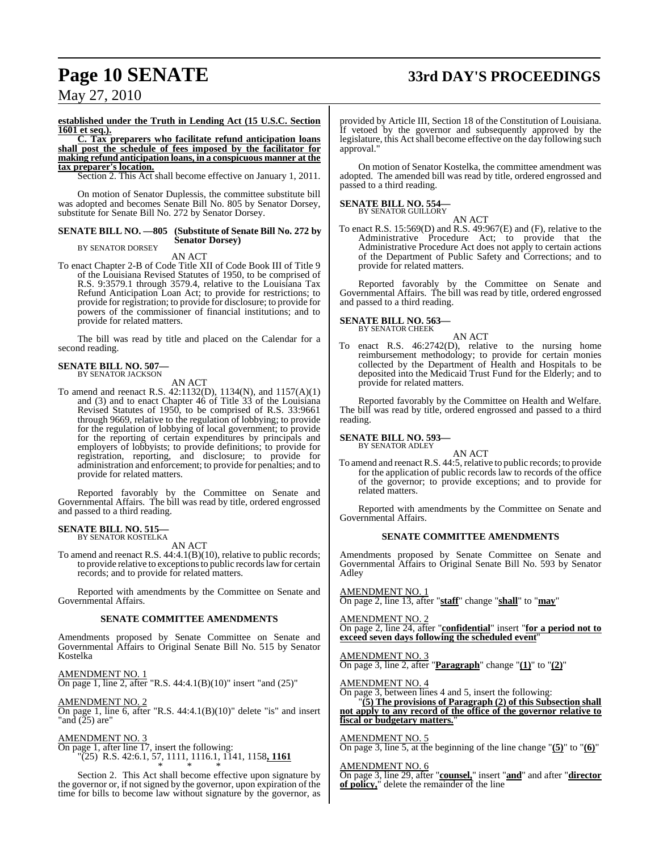## **Page 10 SENATE 33rd DAY'S PROCEEDINGS**

May 27, 2010

**established under the Truth in Lending Act (15 U.S.C. Section 1601 et seq.).**

**C. Tax preparers who facilitate refund anticipation loans shall post the schedule of fees imposed by the facilitator for making refund anticipation loans, in a conspicuous manner at the tax preparer's location.**

Section 2. This Act shall become effective on January 1, 2011.

On motion of Senator Duplessis, the committee substitute bill was adopted and becomes Senate Bill No. 805 by Senator Dorsey, substitute for Senate Bill No. 272 by Senator Dorsey.

#### **SENATE BILL NO. —805 (Substitute of Senate Bill No. 272 by Senator Dorsey)**

BY SENATOR DORSEY AN ACT

To enact Chapter 2-B of Code Title XII of Code Book III of Title 9 of the Louisiana Revised Statutes of 1950, to be comprised of R.S. 9:3579.1 through 3579.4, relative to the Louisiana Tax Refund Anticipation Loan Act; to provide for restrictions; to provide for registration; to provide for disclosure; to provide for powers of the commissioner of financial institutions; and to provide for related matters.

The bill was read by title and placed on the Calendar for a second reading.

#### **SENATE BILL NO. 507—** BY SENATOR JACKSON

AN ACT

To amend and reenact R.S. 42:1132(D), 1134(N), and 1157(A)(1) and (3) and to enact Chapter 46 of Title 33 of the Louisiana Revised Statutes of 1950, to be comprised of R.S. 33:9661 through 9669, relative to the regulation of lobbying; to provide for the regulation of lobbying of local government; to provide for the reporting of certain expenditures by principals and employers of lobbyists; to provide definitions; to provide for registration, reporting, and disclosure; to provide for administration and enforcement; to provide for penalties; and to provide for related matters.

Reported favorably by the Committee on Senate and Governmental Affairs. The bill was read by title, ordered engrossed and passed to a third reading.

### **SENATE BILL NO. 515—** BY SENATOR KOSTELKA

AN ACT

To amend and reenact R.S. 44:4.1(B)(10), relative to public records; to provide relative to exceptions to public records law for certain records; and to provide for related matters.

Reported with amendments by the Committee on Senate and Governmental Affairs.

#### **SENATE COMMITTEE AMENDMENTS**

Amendments proposed by Senate Committee on Senate and Governmental Affairs to Original Senate Bill No. 515 by Senator Kostelka

AMENDMENT NO. 1

On page 1, line 2, after "R.S. 44:4.1(B)(10)" insert "and (25)"

AMENDMENT NO. 2 On page 1, line 6, after "R.S. 44:4.1(B)(10)" delete "is" and insert "and (25) are"

AMENDMENT NO. 3

On page 1, after line 17, insert the following: "(25) R.S. 42:6.1, 57, 1111, 1116.1, 1141, 1158**, 1161**

\* \* \* Section 2. This Act shall become effective upon signature by the governor or, if not signed by the governor, upon expiration of the time for bills to become law without signature by the governor, as provided by Article III, Section 18 of the Constitution of Louisiana. If vetoed by the governor and subsequently approved by the legislature, this Act shall become effective on the day following such approval."

On motion of Senator Kostelka, the committee amendment was adopted. The amended bill was read by title, ordered engrossed and passed to a third reading.

#### **SENATE BILL NO. 554—** BY SENATOR GUILLORY

AN ACT

To enact R.S. 15:569(D) and R.S. 49:967(E) and (F), relative to the Administrative Procedure Act; to provide that the Administrative Procedure Act does not apply to certain actions of the Department of Public Safety and Corrections; and to provide for related matters.

Reported favorably by the Committee on Senate and Governmental Affairs. The bill was read by title, ordered engrossed and passed to a third reading.

**SENATE BILL NO. 563—** BY SENATOR CHEEK

AN ACT

To enact R.S. 46:2742(D), relative to the nursing home reimbursement methodology; to provide for certain monies collected by the Department of Health and Hospitals to be deposited into the Medicaid Trust Fund for the Elderly; and to provide for related matters.

Reported favorably by the Committee on Health and Welfare. The bill was read by title, ordered engrossed and passed to a third reading.

#### **SENATE BILL NO. 593—**

BY SENATOR ADLEY

AN ACT

To amend and reenact R.S. 44:5, relative to public records; to provide for the application of public records law to records of the office of the governor; to provide exceptions; and to provide for related matters.

Reported with amendments by the Committee on Senate and Governmental Affairs.

#### **SENATE COMMITTEE AMENDMENTS**

Amendments proposed by Senate Committee on Senate and Governmental Affairs to Original Senate Bill No. 593 by Senator Adley

AMENDMENT NO. 1 On page 2, line 13, after "**staff**" change "**shall**" to "**may**"

AMENDMENT NO. 2 On page 2, line 24, after "**confidential**" insert "**for a period not to** exceed seven days following the scheduled event<sup>'</sup>

AMENDMENT NO. 3 On page 3, line 2, after "**Paragraph**" change "**(1)**" to "**(2)**"

AMENDMENT NO. 4

On page 3, between lines 4 and 5, insert the following: "**(5) The provisions of Paragraph (2) of this Subsection shall not apply to any record of the office of the governor relative to fiscal or budgetary matters.**"

AMENDMENT NO. 5 On page 3, line 5, at the beginning of the line change "**(5)**" to "**(6)**"

AMENDMENT NO. 6

On page 3, line 29, after "**counsel,**" insert "**and**" and after "**director of policy,**" delete the remainder of the line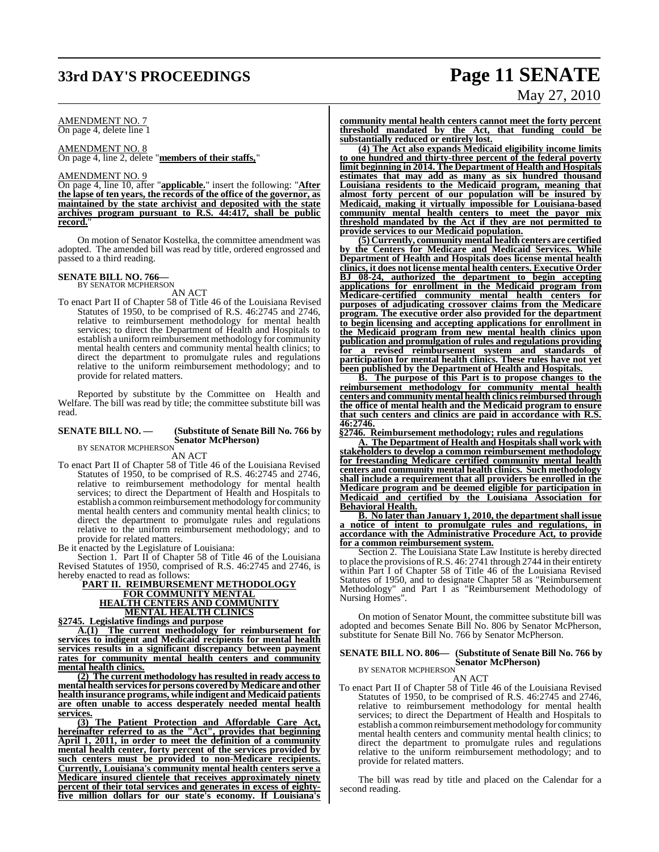### **33rd DAY'S PROCEEDINGS Page 11 SENATE**

# May 27, 2010

#### AMENDMENT NO. 7 On page 4, delete line 1

AMENDMENT NO. 8 On page 4, line 2, delete "**members of their staffs,**"

#### AMENDMENT NO. 9

On page 4, line 10, after "**applicable.**" insert the following: "**After the lapse of ten years, the records of the office of the governor, as maintained by the state archivist and deposited with the state archives program pursuant to R.S. 44:417, shall be public record.**"

On motion of Senator Kostelka, the committee amendment was adopted. The amended bill was read by title, ordered engrossed and passed to a third reading.

### **SENATE BILL NO. 766—** BY SENATOR MCPHERSON

AN ACT

To enact Part II of Chapter 58 of Title 46 of the Louisiana Revised Statutes of 1950, to be comprised of R.S. 46:2745 and 2746, relative to reimbursement methodology for mental health services; to direct the Department of Health and Hospitals to establish a uniform reimbursement methodology for community mental health centers and community mental health clinics; to direct the department to promulgate rules and regulations relative to the uniform reimbursement methodology; and to provide for related matters.

Reported by substitute by the Committee on Health and Welfare. The bill was read by title; the committee substitute bill was read.

#### **SENATE BILL NO. — (Substitute of Senate Bill No. 766 by Senator McPherson)** BY SENATOR MCPHERSON

AN ACT

To enact Part II of Chapter 58 of Title 46 of the Louisiana Revised Statutes of 1950, to be comprised of R.S. 46:2745 and 2746, relative to reimbursement methodology for mental health services; to direct the Department of Health and Hospitals to establish a common reimbursement methodology for community mental health centers and community mental health clinics; to direct the department to promulgate rules and regulations relative to the uniform reimbursement methodology; and to provide for related matters.

Be it enacted by the Legislature of Louisiana:

Section 1. Part II of Chapter 58 of Title 46 of the Louisiana Revised Statutes of 1950, comprised of R.S. 46:2745 and 2746, is hereby enacted to read as follows:

#### **PART II. REIMBURSEMENT METHODOLOGY FOR COMMUNITY MENTAL HEALTH CENTERS AND COMMUNITY MENTAL HEALTH CLINICS §2745. Legislative findings and purpose**

**A.(1) The current methodology for reimbursement for services to indigent and Medicaid recipients for mental health services results in a significant discrepancy between payment rates for community mental health centers and community mental health clinics.**

**(2) The current methodology has resulted in ready access to mental health servicesfor persons covered by Medicare and other health insurance programs, while indigent and Medicaid patients are often unable to access desperately needed mental health services.**

**(3) The Patient Protection and Affordable Care Act, hereinafter referred to as the "Act", provides that beginning April 1, 2011, in order to meet the definition of a community mental health center, forty percent of the services provided by such centers must be provided to non-Medicare recipients. Currently, Louisiana's community mental health centers serve a Medicare insured clientele that receives approximately ninety percent of their total services and generates in excess of eightyfive million dollars for our state's economy. If Louisiana's** **community mental health centers cannot meet the forty percent threshold mandated by the Act, that funding could be substantially reduced or entirely lost.**

**(4) The Act also expands Medicaid eligibility income limits to one hundred and thirty-three percent of the federal poverty limit beginning in 2014. The Department of Health and Hospitals estimates that may add as many as six hundred thousand Louisiana residents to the Medicaid program, meaning that almost forty percent of our population will be insured by Medicaid, making it virtually impossible for Louisiana-based community mental health centers to meet the payor mix threshold mandated by the Act if they are not permitted to provide services to our Medicaid population.**

**(5) Currently, community mental health centers are certified by the Centers for Medicare and Medicaid Services. While Department of Health and Hospitals does license mental health clinics, it does not license mental health centers. Executive Order BJ 08-24, authorized the department to begin accepting applications for enrollment in the Medicaid program from Medicare-certified community mental health centers for purposes of adjudicating crossover claims from the Medicare program. The executive order also provided for the department to begin licensing and accepting applications for enrollment in the Medicaid program from new mental health clinics upon publication and promulgation of rules and regulations providing for a revised reimbursement system and standards of participation** for mental health clinics. These rules have not yet **been published by the Department of Health and Hospitals.**

**B. The purpose of this Part is to propose changes to the reimbursement methodology for community mental health centers and community mental health clinics reimbursed through the office of mental health and the Medicaid program to ensure that such centers and clinics are paid in accordance with R.S. 46:2746.**

**§2746. Reimbursement methodology; rules and regulations**

**A. The Department of Health and Hospitals shall work with stakeholders to develop a common reimbursement methodology for freestanding Medicare certified community mental health centers and community mental health clinics. Such methodology shall include a requirement that all providers be enrolled in the Medicare program and be deemed eligible for participation in Medicaid and certified by the Louisiana Association for Behavioral Health.**

**B. No later than January 1, 2010, the department shall issue a notice of intent to promulgate rules and regulations, in accordance with the Administrative Procedure Act, to provide for a common reimbursement system.**

Section 2. The Louisiana State Law Institute is hereby directed to place the provisions ofR.S. 46: 2741 through 2744 in their entirety within Part I of Chapter 58 of Title 46 of the Louisiana Revised Statutes of 1950, and to designate Chapter 58 as "Reimbursement Methodology" and Part I as "Reimbursement Methodology of Nursing Homes".

On motion of Senator Mount, the committee substitute bill was adopted and becomes Senate Bill No. 806 by Senator McPherson, substitute for Senate Bill No. 766 by Senator McPherson.

### **SENATE BILL NO. 806— (Substitute of Senate Bill No. 766 by Senator McPherson)** BY SENATOR MCPHERSON

AN ACT

To enact Part II of Chapter 58 of Title 46 of the Louisiana Revised Statutes of 1950, to be comprised of R.S. 46:2745 and 2746, relative to reimbursement methodology for mental health services; to direct the Department of Health and Hospitals to establish a common reimbursement methodology for community mental health centers and community mental health clinics; to direct the department to promulgate rules and regulations relative to the uniform reimbursement methodology; and to provide for related matters.

The bill was read by title and placed on the Calendar for a second reading.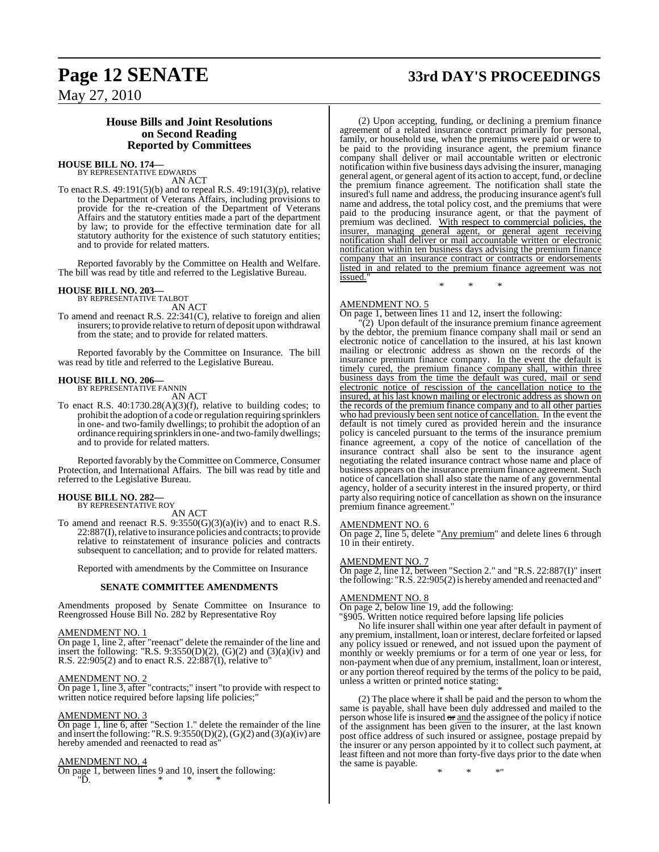### May 27, 2010

### **House Bills and Joint Resolutions on Second Reading Reported by Committees**

### **HOUSE BILL NO. 174—** BY REPRESENTATIVE EDWARDS

AN ACT

To enact R.S. 49:191(5)(b) and to repeal R.S. 49:191(3)(p), relative to the Department of Veterans Affairs, including provisions to provide for the re-creation of the Department of Veterans Affairs and the statutory entities made a part of the department by law; to provide for the effective termination date for all statutory authority for the existence of such statutory entities; and to provide for related matters.

Reported favorably by the Committee on Health and Welfare. The bill was read by title and referred to the Legislative Bureau.

### **HOUSE BILL NO. 203—** BY REPRESENTATIVE TALBOT

AN ACT

To amend and reenact R.S. 22:341(C), relative to foreign and alien insurers; to provide relative to return of deposit upon withdrawal from the state; and to provide for related matters.

Reported favorably by the Committee on Insurance. The bill was read by title and referred to the Legislative Bureau.

### **HOUSE BILL NO. 206—** BY REPRESENTATIVE FANNIN

AN ACT

To enact R.S. 40:1730.28(A)(3)(f), relative to building codes; to prohibit the adoption of a code orregulation requiring sprinklers in one- and two-family dwellings; to prohibit the adoption of an ordinance requiring sprinklers in one- and two-family dwellings; and to provide for related matters.

Reported favorably by the Committee on Commerce, Consumer Protection, and International Affairs. The bill was read by title and referred to the Legislative Bureau.

#### **HOUSE BILL NO. 282—** BY REPRESENTATIVE ROY

AN ACT

To amend and reenact R.S.  $9:3550(G)(3)(a)(iv)$  and to enact R.S. 22:887(I), relative to insurance policies and contracts; to provide relative to reinstatement of insurance policies and contracts subsequent to cancellation; and to provide for related matters.

Reported with amendments by the Committee on Insurance

#### **SENATE COMMITTEE AMENDMENTS**

Amendments proposed by Senate Committee on Insurance to Reengrossed House Bill No. 282 by Representative Roy

#### AMENDMENT NO. 1

On page 1, line 2, after "reenact" delete the remainder of the line and insert the following: "R.S.  $9:3550(D)(2)$ ,  $(G)(2)$  and  $(3)(a)(iv)$  and R.S. 22:905(2) and to enact R.S. 22:887(I), relative to"

#### AMENDMENT NO. 2

On page 1, line 3, after "contracts;" insert "to provide with respect to written notice required before lapsing life policies;

#### AMENDMENT NO. 3

On page 1, line 6, after "Section 1." delete the remainder of the line and insert the following: "R.S.  $9:3550(D)(2)$ ,  $(G)(2)$  and  $(3)(a)(iv)$  are hereby amended and reenacted to read as

#### AMENDMENT NO. 4

On page 1, between lines 9 and 10, insert the following:  $\overline{D}$ . \* \* \*

### **Page 12 SENATE 33rd DAY'S PROCEEDINGS**

(2) Upon accepting, funding, or declining a premium finance agreement of a related insurance contract primarily for personal, family, or household use, when the premiums were paid or were to be paid to the providing insurance agent, the premium finance company shall deliver or mail accountable written or electronic notification within five business days advising the insurer, managing general agent, or general agent of its action to accept, fund, or decline the premium finance agreement. The notification shall state the insured's full name and address, the producing insurance agent's full name and address, the total policy cost, and the premiums that were paid to the producing insurance agent, or that the payment of premium was declined. With respect to commercial policies, the insurer, managing general agent, or general agent receiving notification shall deliver or mail accountable written or electronic notification within ten business days advising the premium finance company that an insurance contract or contracts or endorsements listed in and related to the premium finance agreement was not issued." \* \* \*

#### AMENDMENT NO. 5

On page 1, between lines 11 and 12, insert the following:

"(2) Upon default of the insurance premium finance agreement by the debtor, the premium finance company shall mail or send an electronic notice of cancellation to the insured, at his last known mailing or electronic address as shown on the records of the insurance premium finance company. In the event the default is timely cured, the premium finance company shall, within three business days from the time the default was cured, mail or send electronic notice of rescission of the cancellation notice to the insured, at his last known mailing or electronic address as shown on the records of the premium finance company and to all other parties who had previously been sent notice of cancellation. In the event the default is not timely cured as provided herein and the insurance policy is canceled pursuant to the terms of the insurance premium finance agreement, a copy of the notice of cancellation of the insurance contract shall also be sent to the insurance agent negotiating the related insurance contract whose name and place of business appears on the insurance premium finance agreement. Such notice of cancellation shall also state the name of any governmental agency, holder of a security interest in the insured property, or third party also requiring notice of cancellation as shown on the insurance premium finance agreement."

#### AMENDMENT NO. 6

On page 2, line 5, delete "Any premium" and delete lines 6 through 10 in their entirety.

#### AMENDMENT NO. 7

On page 2, line 12, between "Section 2." and "R.S. 22:887(I)" insert the following: "R.S. 22:905(2) is hereby amended and reenacted and"

#### AMENDMENT NO. 8

On page 2, below line 19, add the following:

"§905. Written notice required before lapsing life policies

No life insurer shall within one year after default in payment of any premium, installment, loan or interest, declare forfeited or lapsed any policy issued or renewed, and not issued upon the payment of monthly or weekly premiums or for a term of one year or less, for non-payment when due of any premium, installment, loan or interest, or any portion thereof required by the terms of the policy to be paid, unless a written or printed notice stating:

#### \* \* \* (2) The place where it shall be paid and the person to whom the same is payable, shall have been duly addressed and mailed to the person whose life is insured  $\sigma$  and the assignee of the policy if notice of the assignment has been given to the insurer, at the last known post office address of such insured or assignee, postage prepaid by the insurer or any person appointed by it to collect such payment, at least fifteen and not more than forty-five days prior to the date when the same is payable.

\* \* \*"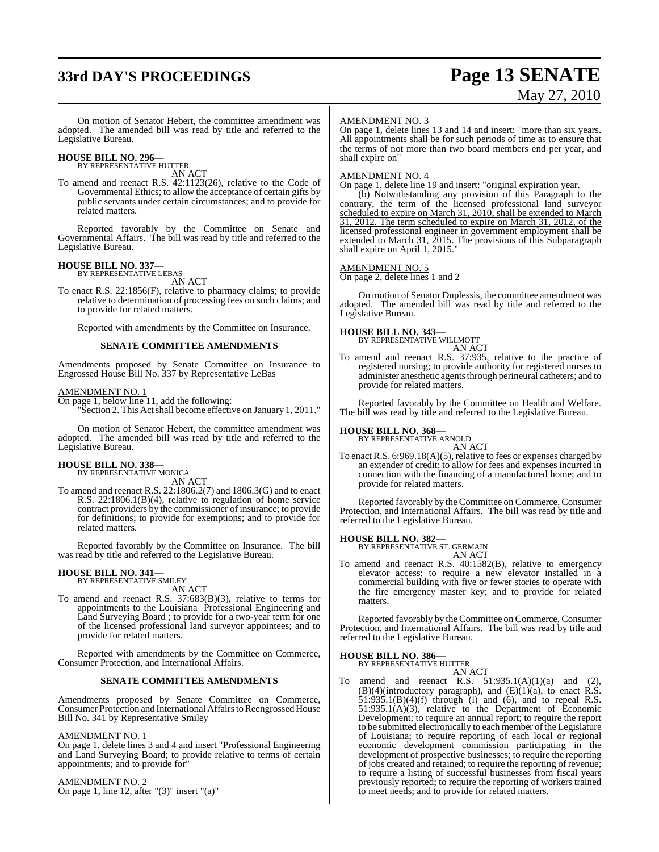# **33rd DAY'S PROCEEDINGS Page 13 SENATE**

# May 27, 2010

On motion of Senator Hebert, the committee amendment was adopted. The amended bill was read by title and referred to the Legislative Bureau.

### **HOUSE BILL NO. 296—** BY REPRESENTATIVE HUTTER

AN ACT

To amend and reenact R.S. 42:1123(26), relative to the Code of Governmental Ethics; to allow the acceptance of certain gifts by public servants under certain circumstances; and to provide for related matters.

Reported favorably by the Committee on Senate and Governmental Affairs. The bill was read by title and referred to the Legislative Bureau.

### **HOUSE BILL NO. 337—** BY REPRESENTATIVE LEBAS

AN ACT

To enact R.S. 22:1856(F), relative to pharmacy claims; to provide relative to determination of processing fees on such claims; and to provide for related matters.

Reported with amendments by the Committee on Insurance.

#### **SENATE COMMITTEE AMENDMENTS**

Amendments proposed by Senate Committee on Insurance to Engrossed House Bill No. 337 by Representative LeBas

#### AMENDMENT NO. 1

On page 1, below line 11, add the following:

"Section 2. This Actshall become effective on January 1, 2011."

On motion of Senator Hebert, the committee amendment was adopted. The amended bill was read by title and referred to the Legislative Bureau.

# **HOUSE BILL NO. 338—** BY REPRESENTATIVE MONICA AN ACT

To amend and reenact R.S. 22:1806.2(7) and 1806.3(G) and to enact R.S. 22:1806.1(B)(4), relative to regulation of home service contract providers by the commissioner of insurance; to provide for definitions; to provide for exemptions; and to provide for related matters.

Reported favorably by the Committee on Insurance. The bill was read by title and referred to the Legislative Bureau.

### **HOUSE BILL NO. 341—** BY REPRESENTATIVE SMILEY

AN ACT

To amend and reenact R.S. 37:683(B)(3), relative to terms for appointments to the Louisiana Professional Engineering and Land Surveying Board ; to provide for a two-year term for one of the licensed professional land surveyor appointees; and to provide for related matters.

Reported with amendments by the Committee on Commerce, Consumer Protection, and International Affairs.

#### **SENATE COMMITTEE AMENDMENTS**

Amendments proposed by Senate Committee on Commerce, Consumer Protection and International Affairs to Reengrossed House Bill No. 341 by Representative Smiley

#### AMENDMENT NO. 1

On page 1, delete lines 3 and 4 and insert "Professional Engineering and Land Surveying Board; to provide relative to terms of certain appointments; and to provide for"

#### AMENDMENT NO. 2

On page 1, line 12, after "(3)" insert " $(a)$ "

#### AMENDMENT NO. 3

On page 1, delete lines 13 and 14 and insert: "more than six years. All appointments shall be for such periods of time as to ensure that the terms of not more than two board members end per year, and shall expire on"

#### AMENDMENT NO. 4

On page 1, delete line 19 and insert: "original expiration year.

(b) Notwithstanding any provision of this Paragraph to the contrary, the term of the licensed professional land surveyor scheduled to expire on March 31, 2010, shall be extended to March 31, 2012. The term scheduled to expire on March 31, 2012, of the licensed professional engineer in government employment shall be extended to March 31, 2015. The provisions of this Subparagraph shall expire on April 1, 2015."

#### AMENDMENT NO. 5

On page 2, delete lines 1 and 2

On motion of Senator Duplessis, the committee amendment was adopted. The amended bill was read by title and referred to the Legislative Bureau.

#### **HOUSE BILL NO. 343—**

BY REPRESENTATIVE WILLMOTT AN ACT

To amend and reenact R.S. 37:935, relative to the practice of registered nursing; to provide authority for registered nurses to administer anesthetic agents through perineural catheters; and to provide for related matters.

Reported favorably by the Committee on Health and Welfare. The bill was read by title and referred to the Legislative Bureau.

#### **HOUSE BILL NO. 368—**

BY REPRESENTATIVE ARNOLD AN ACT

To enact R.S. 6:969.18(A)(5), relative to fees or expenses charged by an extender of credit; to allow for fees and expenses incurred in connection with the financing of a manufactured home; and to provide for related matters.

Reported favorably by the Committee on Commerce, Consumer Protection, and International Affairs. The bill was read by title and referred to the Legislative Bureau.

### **HOUSE BILL NO. 382—** BY REPRESENTATIVE ST. GERMAIN

AN ACT

To amend and reenact R.S. 40:1582(B), relative to emergency elevator access; to require a new elevator installed in a commercial building with five or fewer stories to operate with the fire emergency master key; and to provide for related matters.

Reported favorably by the Committee on Commerce, Consumer Protection, and International Affairs. The bill was read by title and referred to the Legislative Bureau.

#### **HOUSE BILL NO. 386—**

BY REPRESENTATIVE HUTTER AN ACT

amend and reenact R.S.  $51:935.1(A)(1)(a)$  and (2),  $(B)(4)$ (introductory paragraph), and  $(E)(1)(a)$ , to enact R.S.  $51:935.1(B)(4)(f)$  through (1) and (6), and to repeal R.S. 51:935.1(A)(3), relative to the Department of Economic Development; to require an annual report; to require the report to be submitted electronically to each member of the Legislature of Louisiana; to require reporting of each local or regional economic development commission participating in the development of prospective businesses; to require the reporting of jobs created and retained; to require the reporting of revenue; to require a listing of successful businesses from fiscal years previously reported; to require the reporting of workers trained to meet needs; and to provide for related matters.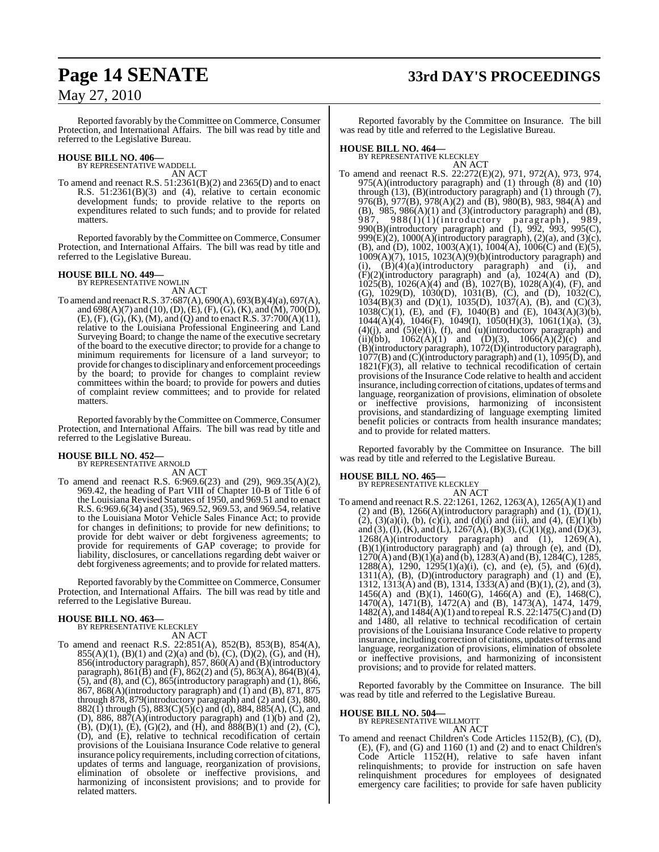## **Page 14 SENATE 33rd DAY'S PROCEEDINGS**

### May 27, 2010

Reported favorably by the Committee on Commerce, Consumer Protection, and International Affairs. The bill was read by title and referred to the Legislative Bureau.

### **HOUSE BILL NO. 406—** BY REPRESENTATIVE WADDELL

AN ACT

To amend and reenact R.S. 51:2361(B)(2) and 2365(D) and to enact R.S. 51:2361(B)(3) and (4), relative to certain economic development funds; to provide relative to the reports on expenditures related to such funds; and to provide for related matters.

Reported favorably by the Committee on Commerce, Consumer Protection, and International Affairs. The bill was read by title and referred to the Legislative Bureau.

#### **HOUSE BILL NO. 449—** BY REPRESENTATIVE NOWLIN

AN ACT

To amend and reenactR.S. 37:687(A), 690(A), 693(B)(4)(a), 697(A), and 698(A)(7) and (10), (D), (E), (F), (G), (K), and (M), 700(D), (E), (F),  $(G)$ ,  $(K)$ ,  $(M)$ , and  $(Q)$  and to enact R.S. 37:700(A)(11), relative to the Louisiana Professional Engineering and Land Surveying Board; to change the name of the executive secretary of the board to the executive director; to provide for a change to minimum requirements for licensure of a land surveyor; to provide for changes to disciplinary and enforcement proceedings by the board; to provide for changes to complaint review committees within the board; to provide for powers and duties of complaint review committees; and to provide for related matters.

Reported favorably by the Committee on Commerce, Consumer Protection, and International Affairs. The bill was read by title and referred to the Legislative Bureau.

#### **HOUSE BILL NO. 452—**

BY REPRESENTATIVE ARNOLD

AN ACT To amend and reenact R.S. 6:969.6(23) and (29), 969.35(A)(2), 969.42, the heading of Part VIII of Chapter 10-B of Title 6 of the Louisiana Revised Statutes of 1950, and 969.51 and to enact R.S. 6:969.6(34) and (35), 969.52, 969.53, and 969.54, relative to the Louisiana Motor Vehicle Sales Finance Act; to provide for changes in definitions; to provide for new definitions; to provide for debt waiver or debt forgiveness agreements; to provide for requirements of GAP coverage; to provide for liability, disclosures, or cancellations regarding debt waiver or debt forgiveness agreements; and to provide for related matters.

Reported favorably by the Committee on Commerce, Consumer Protection, and International Affairs. The bill was read by title and referred to the Legislative Bureau.

## **HOUSE BILL NO. 463—** BY REPRESENTATIVE KLECKLEY

AN ACT

To amend and reenact R.S. 22:851(A), 852(B), 853(B), 854(A),  $855(A)(1)$ ,  $(B)(1)$  and  $(2)(a)$  and  $(b)$ ,  $(C)$ ,  $(D)(2)$ ,  $(G)$ , and  $(H)$ , 856(introductory paragraph), 857, 860(A) and (B)(introductory paragraph),  $861(B)$  and (F),  $862(2)$  and (5),  $863(A)$ ,  $864(B)(4)$ ,  $(5)$ , and  $(8)$ , and  $(C)$ , 865(introductory paragraph) and  $(1)$ , 866,  $867$ ,  $868(A)$ (introductory paragraph) and  $(I)$  and  $(B)$ ,  $871$ ,  $875$ through 878, 879(introductory paragraph) and (2) and (3), 880, 882(1) through (5),  $883(C)(5)(c)$  and (d),  $884, 885(A)$ , (C), and (D), 886, 887 $(A)$ (introductory paragraph) and  $(1)(b)$  and  $(2)$ ,  $(B)$ ,  $(D)(1)$ ,  $(E)$ ,  $(G)(2)$ , and  $(H)$ , and  $888(B)(1)$  and  $(2)$ ,  $(C)$ , (D), and (E), relative to technical recodification of certain provisions of the Louisiana Insurance Code relative to general insurance policy requirements, including correction of citations, updates of terms and language, reorganization of provisions, elimination of obsolete or ineffective provisions, and harmonizing of inconsistent provisions; and to provide for related matters.

Reported favorably by the Committee on Insurance. The bill was read by title and referred to the Legislative Bureau.

### **HOUSE BILL NO. 464—** BY REPRESENTATIVE KLECKLEY

AN ACT To amend and reenact R.S. 22:272(E)(2), 971, 972(A), 973, 974, 975(A)(introductory paragraph) and (1) through (8) and (10) through  $(13)$ ,  $(B)$ (introductory paragraph) and  $(1)$  through  $(7)$ , 976(B),  $\frac{\partial 7}{\partial B}$ ,  $\frac{\partial 7}{\partial B}$  (A)(2) and (B), 980(B), 983, 984(A) and  $(B)$ ,  $985$ ,  $986(A)(1)$  and  $(3)(introducing)$  paragraph) and  $(B)$ , 987, 988(I)(1)(introductory paragraph), 989, 990(B)(introductory paragraph) and (1), 992, 993, 995(C), 999 $(E)(2)$ , 1000 $(A)$ (introductory paragraph),  $(2)(a)$ , and  $(3)(c)$ , (B), and (D), 1002, 1003(A)(1), 1004(A), 1006(C) and (E)(5), 1009(A)(7), 1015, 1023(A)(9)(b)(introductory paragraph) and (i),  $(B)(4)(a)$ (introductory paragraph) and (i), and  $(F)(2)$ (introductory paragraph) and (a), 1024(A) and (D), 1025(B), 1026(A)(4) and (B), 1027(B), 1028(A)(4), (F), and (G), 1029(D), 1030(D), 1031(B), (C), and (D), 1032(C),  $1034(B)(3)$  and  $(D)(1)$ ,  $1035(D)$ ,  $1037(A)$ ,  $(B)$ , and  $(C)(3)$ , 1038(C)(1), (E), and (F), 1040(B) and (E), 1043(A)(3)(b), 1044(A)(4), 1046(F), 1049(I), 1050(H)(3), 1061(1)(a), (3),  $(4)(j)$ , and  $(5)(e)(i)$ ,  $(f)$ , and  $(u)(introducing)$  paragraph) and (ii)(bb),  $1062(A)(1)$  and  $(D)(3)$ ,  $1066(A)(2)(c)$  and (B)(introductory paragraph), 1072(D)(introductory paragraph), 1077(B) and (C)(introductory paragraph) and (1), 1095(D), and  $1821(F)(3)$ , all relative to technical recodification of certain provisions of the Insurance Code relative to health and accident insurance, including correction of citations, updates of terms and language, reorganization of provisions, elimination of obsolete or ineffective provisions, harmonizing of inconsistent provisions, and standardizing of language exempting limited benefit policies or contracts from health insurance mandates; and to provide for related matters.

Reported favorably by the Committee on Insurance. The bill was read by title and referred to the Legislative Bureau.

#### **HOUSE BILL NO. 465—**

BY REPRESENTATIVE KLECKLEY AN ACT

To amend and reenact R.S. 22:1261, 1262, 1263(A), 1265(A)(1) and (2) and (B),  $1266(A)$ (introductory paragraph) and (1),  $(D)(1)$ ,  $(2)$ ,  $(3)(a)(i)$ ,  $(b)$ ,  $(c)(i)$ , and  $(d)(i)$  and  $(iii)$ , and  $(4)$ ,  $(E)(1)(b)$ and (3), (I), (K), and (L), 1267(A), (B)(3), (C)(1)(g), and (D)(3), 1268(A)(introductory paragraph) and (1), 1269(A), (B)(1)(introductory paragraph) and (a) through (e), and (D),  $1270(A)$  and  $(B)(1)(a)$  and  $(b)$ ,  $1283(A)$  and  $(B)$ ,  $1284(C)$ ,  $1285$ , 1288(A), 1290, 1295(1)(a)(i), (c), and (e), (5), and (6)(d), 1311(A), (B), (D)(introductory paragraph) and (1) and (E), 1312, 1313(A) and (B), 1314, 1333(A) and (B)(1), (2), and (3), 1456(A) and (B)(1), 1460(G), 1466(A) and (E), 1468(C), 1470(A), 1471(B), 1472(A) and (B), 1473(A), 1474, 1479, 1482(A), and 1484(A)(1) and to repeal R.S. 22:1475(C) and (D) and 1480, all relative to technical recodification of certain provisions of the Louisiana Insurance Code relative to property insurance, including correction of citations, updates of terms and language, reorganization of provisions, elimination of obsolete or ineffective provisions, and harmonizing of inconsistent provisions; and to provide for related matters.

Reported favorably by the Committee on Insurance. The bill was read by title and referred to the Legislative Bureau.

#### **HOUSE BILL NO. 504—**

BY REPRESENTATIVE WILLMOTT

AN ACT

To amend and reenact Children's Code Articles 1152(B), (C), (D), (E), (F), and (G) and 1160 (1) and (2) and to enact Children's Code Article 1152(H), relative to safe haven infant relinquishments; to provide for instruction on safe haven relinquishment procedures for employees of designated emergency care facilities; to provide for safe haven publicity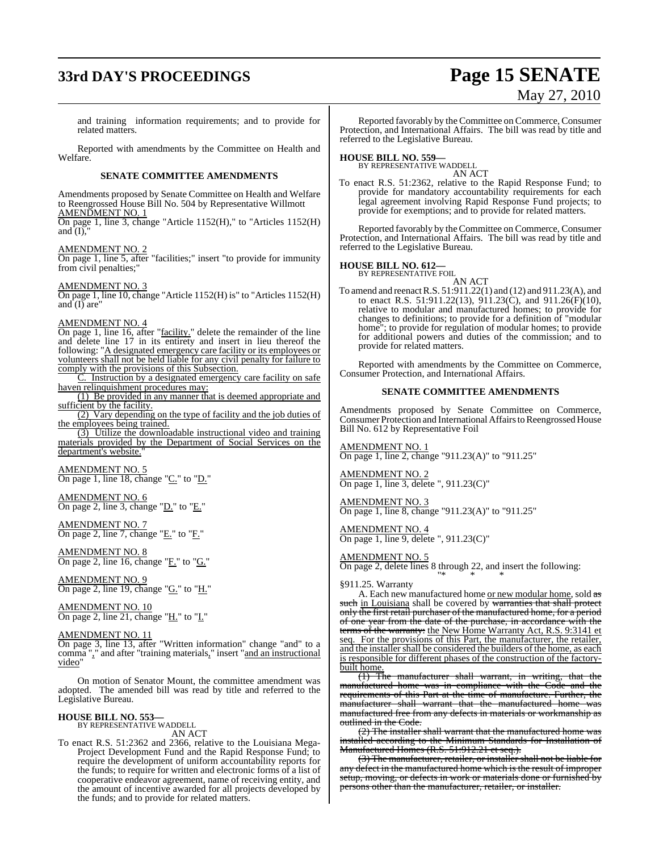# **33rd DAY'S PROCEEDINGS Page 15 SENATE**

# May 27, 2010

and training information requirements; and to provide for related matters.

Reported with amendments by the Committee on Health and Welfare.

#### **SENATE COMMITTEE AMENDMENTS**

Amendments proposed by Senate Committee on Health and Welfare to Reengrossed House Bill No. 504 by Representative Willmott AMENDMENT NO. 1

On page 1, line 3, change "Article 1152(H)," to "Articles 1152(H) and  $(I)$ ,

AMENDMENT NO. 2

On page 1, line 5, after "facilities;" insert "to provide for immunity from civil penalties;"

AMENDMENT NO. 3

On page 1, line 10, change "Article 1152(H) is" to "Articles 1152(H) and  $\overline{(I)}$  are"

#### AMENDMENT NO. 4

On page 1, line 16, after "facility." delete the remainder of the line and delete line 17 in its entirety and insert in lieu thereof the following: "A designated emergency care facility or its employees or volunteers shall not be held liable for any civil penalty for failure to comply with the provisions of this Subsection.

C. Instruction by a designated emergency care facility on safe haven relinquishment procedures may:

(1) Be provided in any manner that is deemed appropriate and sufficient by the facility.

(2) Vary depending on the type of facility and the job duties of the employees being trained.

(3) Utilize the downloadable instructional video and training materials provided by the Department of Social Services on the department's website.

AMENDMENT NO. 5 On page 1, line 18, change "C." to "D."

AMENDMENT NO. 6 On page 2, line 3, change "D." to "E."

AMENDMENT NO. 7 On page 2, line 7, change "E." to "F."

AMENDMENT NO. 8 On page 2, line 16, change "F." to "G."

AMENDMENT NO. 9  $\overline{\text{On page 2, line 19, change}}$  " $\underline{\text{G.}}$ " to " $\underline{\text{H.}}$ "

AMENDMENT NO. 10 On page 2, line 21, change "H." to "I."

AMENDMENT NO. 11

On page 3, line 13, after "Written information" change "and" to a comma "," and after "training materials," insert "and an instructional video"

On motion of Senator Mount, the committee amendment was adopted. The amended bill was read by title and referred to the Legislative Bureau.

#### **HOUSE BILL NO. 553—**

BY REPRESENTATIVE WADDELL AN ACT

To enact R.S. 51:2362 and 2366, relative to the Louisiana Mega-Project Development Fund and the Rapid Response Fund; to require the development of uniform accountability reports for the funds; to require for written and electronic forms of a list of cooperative endeavor agreement, name of receiving entity, and the amount of incentive awarded for all projects developed by the funds; and to provide for related matters.

Reported favorably by the Committee on Commerce, Consumer Protection, and International Affairs. The bill was read by title and referred to the Legislative Bureau.

**HOUSE BILL NO. 559—** BY REPRESENTATIVE WADDELL AN ACT

To enact R.S. 51:2362, relative to the Rapid Response Fund; to provide for mandatory accountability requirements for each legal agreement involving Rapid Response Fund projects; to provide for exemptions; and to provide for related matters.

Reported favorably by the Committee on Commerce, Consumer Protection, and International Affairs. The bill was read by title and referred to the Legislative Bureau.

### **HOUSE BILL NO. 612—** BY REPRESENTATIVE FOIL

AN ACT

To amend and reenactR.S. 51:911.22(1) and (12) and 911.23(A), and to enact R.S. 51:911.22(13), 911.23(C), and 911.26(F)(10), relative to modular and manufactured homes; to provide for changes to definitions; to provide for a definition of "modular home"; to provide for regulation of modular homes; to provide for additional powers and duties of the commission; and to provide for related matters.

Reported with amendments by the Committee on Commerce, Consumer Protection, and International Affairs.

#### **SENATE COMMITTEE AMENDMENTS**

Amendments proposed by Senate Committee on Commerce, Consumer Protection and International Affairs to Reengrossed House Bill No. 612 by Representative Foil

AMENDMENT NO. 1 On page 1, line 2, change "911.23(A)" to "911.25"

AMENDMENT NO. 2 On page 1, line 3, delete ", 911.23(C)"

AMENDMENT NO. 3 On page 1, line 8, change "911.23(A)" to "911.25"

AMENDMENT NO. 4 On page 1, line 9, delete ", 911.23(C)"

#### AMENDMENT NO. 5

On page 2, delete lines 8 through 22, and insert the following: "\* \* \*

§911.25. Warranty

A. Each new manufactured home or new modular home, sold as such in Louisiana shall be covered by warranties that shall protect only the first retail purchaser of the manufactured home, for a period of one year from the date of the purchase, in accordance with the terms of the warranty: the New Home Warranty Act, R.S. 9:3141 et seq. For the provisions of this Part, the manufacturer, the retailer, and the installer shall be considered the builders of the home, as each is responsible for different phases of the construction of the factory-

built home.<br> $\frac{(1)}{(1)}$  The manufacturer shall warrant, in writing, that the manufactured home was in compliance with the Code and the requirements of this Part at the time of manufacture. Further, the manufacturer shall warrant that the manufactured home was manufactured free from any defects in materials or workmanship as outlined in the Code.

(2) The installer shall warrant that the manufactured home was installed according to the Minimum Standards for Installation of Manufactured Homes (R.S. 51:912.21 et seq.).

(3) The manufacturer, retailer, or installer shall not be liable for any defect in the manufactured home which is the result of improper setup, moving, or defects in work or materials done or furnished by persons other than the manufacturer, retailer, or installer.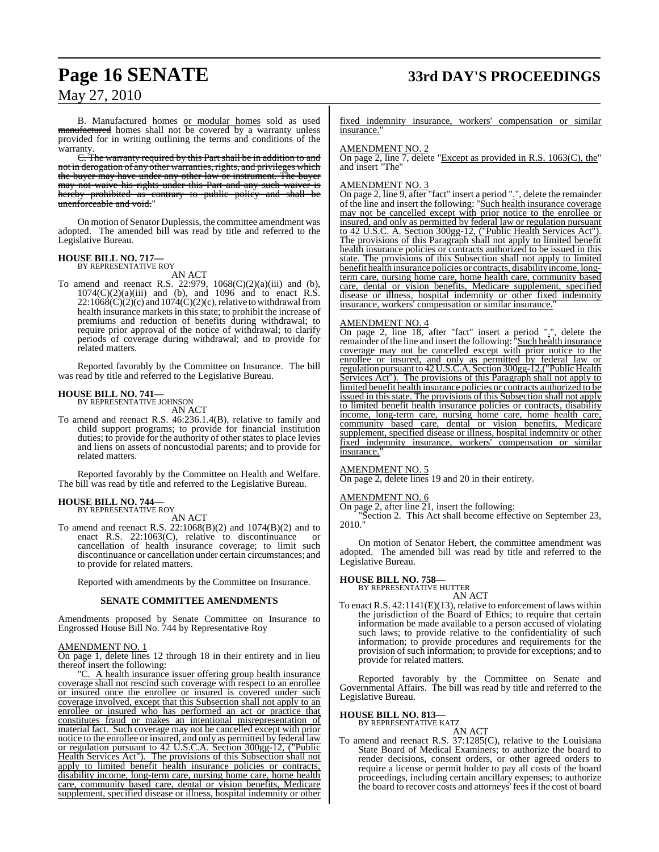## **Page 16 SENATE 33rd DAY'S PROCEEDINGS**

May 27, 2010

B. Manufactured homes or modular homes sold as used manufactured homes shall not be covered by a warranty unless provided for in writing outlining the terms and conditions of the .<br>warranty.

C. The warranty required by this Part shall be in addition to and not in derogation of any other warranties, rights, and privileges which the buyer may have under any other law or instrument. The buyer may not waive his rights under this Part and any such waiver is hereby prohibited as contrary to public policy and shall be unenforceable and void."

On motion of Senator Duplessis, the committee amendment was adopted. The amended bill was read by title and referred to the Legislative Bureau.

#### **HOUSE BILL NO. 717—** BY REPRESENTATIVE ROY

AN ACT

To amend and reenact R.S. 22:979,  $1068(C)(2)(a)(iii)$  and (b),  $1074(C)(2)(a)(iii)$  and (b), and 1096 and to enact R.S.  $22:1068(\dot{C})(2)(c)$  and  $1074(\dot{C})(2)(c)$ , relative to withdrawal from health insurance markets in this state; to prohibit the increase of premiums and reduction of benefits during withdrawal; to require prior approval of the notice of withdrawal; to clarify periods of coverage during withdrawal; and to provide for related matters.

Reported favorably by the Committee on Insurance. The bill was read by title and referred to the Legislative Bureau.

### **HOUSE BILL NO. 741—** BY REPRESENTATIVE JOHNSON

AN ACT

To amend and reenact R.S. 46:236.1.4(B), relative to family and child support programs; to provide for financial institution duties; to provide for the authority of other states to place levies and liens on assets of noncustodial parents; and to provide for related matters.

Reported favorably by the Committee on Health and Welfare. The bill was read by title and referred to the Legislative Bureau.

#### **HOUSE BILL NO. 744—** BY REPRESENTATIVE ROY

AN ACT

To amend and reenact R.S. 22:1068(B)(2) and 1074(B)(2) and to enact R.S. 22:1063(C), relative to discontinuance or cancellation of health insurance coverage; to limit such discontinuance or cancellation under certain circumstances; and to provide for related matters.

Reported with amendments by the Committee on Insurance.

#### **SENATE COMMITTEE AMENDMENTS**

Amendments proposed by Senate Committee on Insurance to Engrossed House Bill No. 744 by Representative Roy

AMENDMENT NO. 1

On page 1, delete lines 12 through 18 in their entirety and in lieu thereof insert the following:

"C. A health insurance issuer offering group health insurance coverage shall not rescind such coverage with respect to an enrollee or insured once the enrollee or insured is covered under such coverage involved, except that this Subsection shall not apply to an enrollee or insured who has performed an act or practice that constitutes fraud or makes an intentional misrepresentation of material fact. Such coverage may not be cancelled except with prior notice to the enrollee or insured, and only as permitted by federal law or regulation pursuant to 42 U.S.C.A. Section 300gg-12, ("Public Health Services Act"). The provisions of this Subsection shall not apply to limited benefit health insurance policies or contracts, disability income, long-term care, nursing home care, home health care, community based care, dental or vision benefits, Medicare supplement, specified disease or illness, hospital indemnity or other

fixed indemnity insurance, workers' compensation or similar insurance.

#### AMENDMENT NO. 2

On page 2, line 7, delete "Except as provided in R.S. 1063(C), the" and insert "The"

#### AMENDMENT NO. 3

On page 2, line 9, after "fact" insert a period ".", delete the remainder of the line and insert the following: "Such health insurance coverage may not be cancelled except with prior notice to the enrollee or insured, and only as permitted by federal law or regulation pursuant to 42 U.S.C. A. Section 300gg-12, ("Public Health Services Act"). The provisions of this Paragraph shall not apply to limited benefit health insurance policies or contracts authorized to be issued in this state. The provisions of this Subsection shall not apply to limited benefit health insurance policies or contracts, disability income, longterm care, nursing home care, home health care, community based care, dental or vision benefits, Medicare supplement, specified disease or illness, hospital indemnity or other fixed indemnity insurance, workers' compensation or similar insurance.

#### AMENDMENT NO. 4

On page 2, line 18, after "fact" insert a period ".", delete the remainder of the line and insert the following: "Such health insurance coverage may not be cancelled except with prior notice to the enrollee or insured, and only as permitted by federal law or regulation pursuant to 42 U.S.C.A. Section 300gg-12,("Public Health Services Act"). The provisions of this Paragraph shall not apply to limited benefit health insurance policies or contracts authorized to be issued in this state. The provisions of this Subsection shall not apply to limited benefit health insurance policies or contracts, disability income, long-term care, nursing home care, home health care, community based care, dental or vision benefits, Medicare supplement, specified disease or illness, hospital indemnity or other fixed indemnity insurance, workers' compensation or similar insurance.

#### AMENDMENT NO. 5

On page 2, delete lines 19 and 20 in their entirety.

#### AMENDMENT NO. 6

On page 2, after line  $\overline{21}$ , insert the following:

"Section 2. This Act shall become effective on September 23, 2010."

On motion of Senator Hebert, the committee amendment was adopted. The amended bill was read by title and referred to the Legislative Bureau.

#### **HOUSE BILL NO. 758—**

BY REPRESENTATIVE HUTTER AN ACT

To enact R.S.  $42:1141(E)(13)$ , relative to enforcement of laws within the jurisdiction of the Board of Ethics; to require that certain information be made available to a person accused of violating such laws; to provide relative to the confidentiality of such information; to provide procedures and requirements for the provision of such information; to provide for exceptions; and to provide for related matters.

Reported favorably by the Committee on Senate and Governmental Affairs. The bill was read by title and referred to the Legislative Bureau.

**HOUSE BILL NO. 813—**

BY REPRESENTATIVE KATZ

AN ACT To amend and reenact R.S. 37:1285(C), relative to the Louisiana State Board of Medical Examiners; to authorize the board to render decisions, consent orders, or other agreed orders to require a license or permit holder to pay all costs of the board proceedings, including certain ancillary expenses; to authorize the board to recover costs and attorneys' fees if the cost of board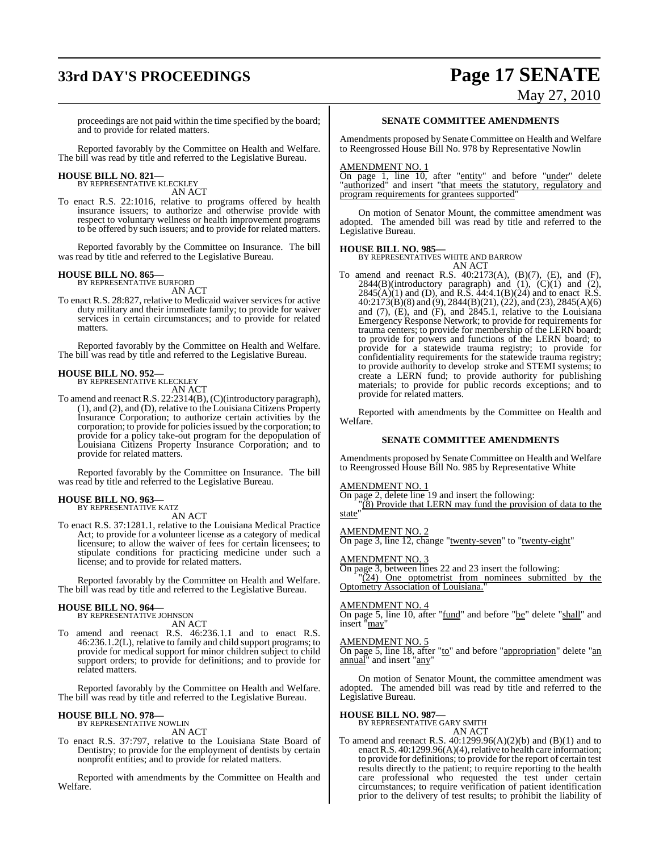# **33rd DAY'S PROCEEDINGS Page 17 SENATE**

# May 27, 2010

proceedings are not paid within the time specified by the board; and to provide for related matters.

Reported favorably by the Committee on Health and Welfare. The bill was read by title and referred to the Legislative Bureau.

#### **HOUSE BILL NO. 821—** BY REPRESENTATIVE KLECKLEY

AN ACT

To enact R.S. 22:1016, relative to programs offered by health insurance issuers; to authorize and otherwise provide with respect to voluntary wellness or health improvement programs to be offered by such issuers; and to provide for related matters.

Reported favorably by the Committee on Insurance. The bill was read by title and referred to the Legislative Bureau.

#### **HOUSE BILL NO. 865—** BY REPRESENTATIVE BURFORD

AN ACT

To enact R.S. 28:827, relative to Medicaid waiver services for active duty military and their immediate family; to provide for waiver services in certain circumstances; and to provide for related matters.

Reported favorably by the Committee on Health and Welfare. The bill was read by title and referred to the Legislative Bureau.

#### **HOUSE BILL NO. 952—**

BY REPRESENTATIVE KLECKLEY

AN ACT To amend and reenactR.S. 22:2314(B),(C)(introductory paragraph), (1), and (2), and (D), relative to the Louisiana Citizens Property Insurance Corporation; to authorize certain activities by the corporation; to provide for policies issued by the corporation; to provide for a policy take-out program for the depopulation of Louisiana Citizens Property Insurance Corporation; and to

Reported favorably by the Committee on Insurance. The bill was read by title and referred to the Legislative Bureau.

#### **HOUSE BILL NO. 963—** BY REPRESENTATIVE KATZ

provide for related matters.

AN ACT

To enact R.S. 37:1281.1, relative to the Louisiana Medical Practice Act; to provide for a volunteer license as a category of medical licensure; to allow the waiver of fees for certain licensees; to stipulate conditions for practicing medicine under such a license; and to provide for related matters.

Reported favorably by the Committee on Health and Welfare. The bill was read by title and referred to the Legislative Bureau.

### **HOUSE BILL NO. 964—** BY REPRESENTATIVE JOHNSON

AN ACT

To amend and reenact R.S. 46:236.1.1 and to enact R.S. 46:236.1.2(L), relative to family and child support programs; to provide for medical support for minor children subject to child support orders; to provide for definitions; and to provide for related matters.

Reported favorably by the Committee on Health and Welfare. The bill was read by title and referred to the Legislative Bureau.

#### **HOUSE BILL NO. 978—** BY REPRESENTATIVE NOWLIN

AN ACT

To enact R.S. 37:797, relative to the Louisiana State Board of Dentistry; to provide for the employment of dentists by certain nonprofit entities; and to provide for related matters.

Reported with amendments by the Committee on Health and Welfare.

#### **SENATE COMMITTEE AMENDMENTS**

Amendments proposed by Senate Committee on Health and Welfare to Reengrossed House Bill No. 978 by Representative Nowlin

#### AMENDMENT NO. 1

On page 1, line 10, after "entity" and before "under" delete "authorized" and insert "that meets the statutory, regulatory and program requirements for grantees supported"

On motion of Senator Mount, the committee amendment was adopted. The amended bill was read by title and referred to the Legislative Bureau.

#### **HOUSE BILL NO. 985—**

BY REPRESENTATIVES WHITE AND BARROW

AN ACT To amend and reenact R.S. 40:2173(A), (B)(7), (E), and (F),  $2844(B)$ (introductory paragraph) and  $(1)$ ,  $(C)(1)$  and  $(2)$ ,  $2845(A)(1)$  and (D), and R.S.  $44:4.1(B)(24)$  and to enact R.S. 40:2173(B)(8) and (9), 2844(B)(21), (22), and (23), 2845(A)(6) and (7), (E), and (F), and 2845.1, relative to the Louisiana Emergency Response Network; to provide for requirements for trauma centers; to provide for membership of the LERN board; to provide for powers and functions of the LERN board; to provide for a statewide trauma registry; to provide for confidentiality requirements for the statewide trauma registry; to provide authority to develop stroke and STEMI systems; to create a LERN fund; to provide authority for publishing materials; to provide for public records exceptions; and to provide for related matters.

Reported with amendments by the Committee on Health and Welfare.

#### **SENATE COMMITTEE AMENDMENTS**

Amendments proposed by Senate Committee on Health and Welfare to Reengrossed House Bill No. 985 by Representative White

#### AMEND<u>MENT NO. 1</u>

On page 2, delete line 19 and insert the following:

"(8) Provide that LERN may fund the provision of data to the state

#### AMENDMENT NO. 2

On page 3, line 12, change "twenty-seven" to "twenty-eight"

#### AMENDMENT NO. 3

On page 3, between lines 22 and 23 insert the following: "(24) One optometrist from nominees submitted by the Optometry Association of Louisiana.

#### AMENDMENT NO. 4

On page 5, line 10, after "fund" and before "be" delete "shall" and insert "may"

#### AMENDMENT NO. 5

On page 5, line 18, after "to" and before "appropriation" delete "an annual" and insert "any"

On motion of Senator Mount, the committee amendment was adopted. The amended bill was read by title and referred to the Legislative Bureau.

**HOUSE BILL NO. 987—**

### BY REPRESENTATIVE GARY SMITH

AN ACT To amend and reenact R.S. 40:1299.96(A)(2)(b) and (B)(1) and to enact R.S.  $40:1299.96(A)(4)$ , relative to health care information; to provide for definitions; to provide for the report of certain test results directly to the patient; to require reporting to the health care professional who requested the test under certain circumstances; to require verification of patient identification prior to the delivery of test results; to prohibit the liability of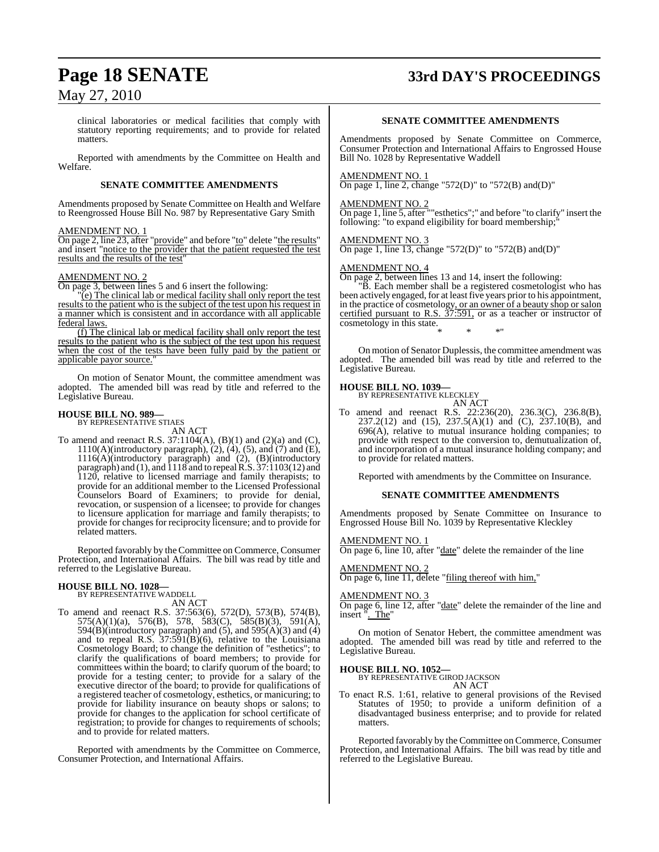### **Page 18 SENATE 33rd DAY'S PROCEEDINGS**

### May 27, 2010

clinical laboratories or medical facilities that comply with statutory reporting requirements; and to provide for related matters.

Reported with amendments by the Committee on Health and Welfare.

#### **SENATE COMMITTEE AMENDMENTS**

Amendments proposed by Senate Committee on Health and Welfare to Reengrossed House Bill No. 987 by Representative Gary Smith

#### AMENDMENT NO. 1

On page 2, line 23, after "provide" and before "to" delete "the results" and insert "notice to the provider that the patient requested the test results and the results of the test"

#### AMENDMENT NO. 2

On page 3, between lines 5 and 6 insert the following:

"(e) The clinical lab or medical facility shall only report the test results to the patient who is the subject of the test upon his request in a manner which is consistent and in accordance with all applicable federal laws.

(f) The clinical lab or medical facility shall only report the test results to the patient who is the subject of the test upon his request when the cost of the tests have been fully paid by the patient or applicable payor source."

On motion of Senator Mount, the committee amendment was adopted. The amended bill was read by title and referred to the Legislative Bureau.

#### **HOUSE BILL NO. 989—**

BY REPRESENTATIVE STIAES AN ACT

To amend and reenact R.S. 37:1104(A), (B)(1) and (2)(a) and (C),  $1110(A)$ (introductory paragraph),  $(2)$ ,  $(4)$ ,  $(5)$ , and  $(7)$  and  $(E)$ , 1116(A)(introductory paragraph) and (2), (B)(introductory paragraph) and (1), and 1118 and to repealR.S. 37:1103(12) and 1120, relative to licensed marriage and family therapists; to provide for an additional member to the Licensed Professional Counselors Board of Examiners; to provide for denial, revocation, or suspension of a licensee; to provide for changes to licensure application for marriage and family therapists; to provide for changes for reciprocity licensure; and to provide for related matters.

Reported favorably by the Committee on Commerce, Consumer Protection, and International Affairs. The bill was read by title and referred to the Legislative Bureau.

### **HOUSE BILL NO. 1028—** BY REPRESENTATIVE WADDELL

AN ACT

To amend and reenact R.S. 37:563(6), 572(D), 573(B), 574(B),  $575(A)(1)(a)$ ,  $576(B)$ ,  $578$ ,  $583(C)$ ,  $585(B)(3)$ ,  $591(A)$ , 594(B)(introductory paragraph) and  $(5)$ , and  $595(A)(3)$  and  $(4)$ and to repeal R.S. 37:591(B)(6), relative to the Louisiana Cosmetology Board; to change the definition of "esthetics"; to clarify the qualifications of board members; to provide for committees within the board; to clarify quorum of the board; to provide for a testing center; to provide for a salary of the executive director of the board; to provide for qualifications of a registered teacher of cosmetology, esthetics, or manicuring; to provide for liability insurance on beauty shops or salons; to provide for changes to the application for school certificate of registration; to provide for changes to requirements of schools; and to provide for related matters.

Reported with amendments by the Committee on Commerce, Consumer Protection, and International Affairs.

#### **SENATE COMMITTEE AMENDMENTS**

Amendments proposed by Senate Committee on Commerce, Consumer Protection and International Affairs to Engrossed House Bill No. 1028 by Representative Waddell

#### AMENDMENT NO. 1

On page 1, line 2, change "572(D)" to "572(B) and(D)"

#### AMENDMENT NO. 2

On page 1, line 5, after ""esthetics";" and before "to clarify" insert the following: "to expand eligibility for board membership;"

#### AMENDMENT NO. 3

On page 1, line 13, change "572(D)" to "572(B) and  $(D)$ "

#### AMENDMENT NO. 4

On page 2, between lines 13 and 14, insert the following:

"B. Each member shall be a registered cosmetologist who has been actively engaged, for at least five years prior to his appointment, in the practice of cosmetology, or an owner of a beauty shop or salon certified pursuant to R.S.  $37:591$ , or as a teacher or instructor of cosmetology in this state. \* \* \*"

On motion of Senator Duplessis, the committee amendment was adopted. The amended bill was read by title and referred to the Legislative Bureau.

### **HOUSE BILL NO. 1039—** BY REPRESENTATIVE KLECKLEY

AN ACT

To amend and reenact R.S. 22:236(20), 236.3(C), 236.8(B), 237.2(12) and (15), 237.5(A)(1) and (C), 237.10(B), and 696(A), relative to mutual insurance holding companies; to provide with respect to the conversion to, demutualization of, and incorporation of a mutual insurance holding company; and to provide for related matters.

Reported with amendments by the Committee on Insurance.

#### **SENATE COMMITTEE AMENDMENTS**

Amendments proposed by Senate Committee on Insurance to Engrossed House Bill No. 1039 by Representative Kleckley

#### <u>AMENDMENT NO. 1</u>

On page 6, line 10, after "date" delete the remainder of the line

#### AMENDMENT NO. 2

**On page 6, line 11, delete "filing thereof with him,"** 

#### AMENDMENT NO. 3

On page 6, line 12, after "date" delete the remainder of the line and insert ". The"

On motion of Senator Hebert, the committee amendment was adopted. The amended bill was read by title and referred to the Legislative Bureau.

### **HOUSE BILL NO. 1052—** BY REPRESENTATIVE GIROD JACKSON

AN ACT

To enact R.S. 1:61, relative to general provisions of the Revised Statutes of 1950; to provide a uniform definition of a disadvantaged business enterprise; and to provide for related matters.

Reported favorably by the Committee on Commerce, Consumer Protection, and International Affairs. The bill was read by title and referred to the Legislative Bureau.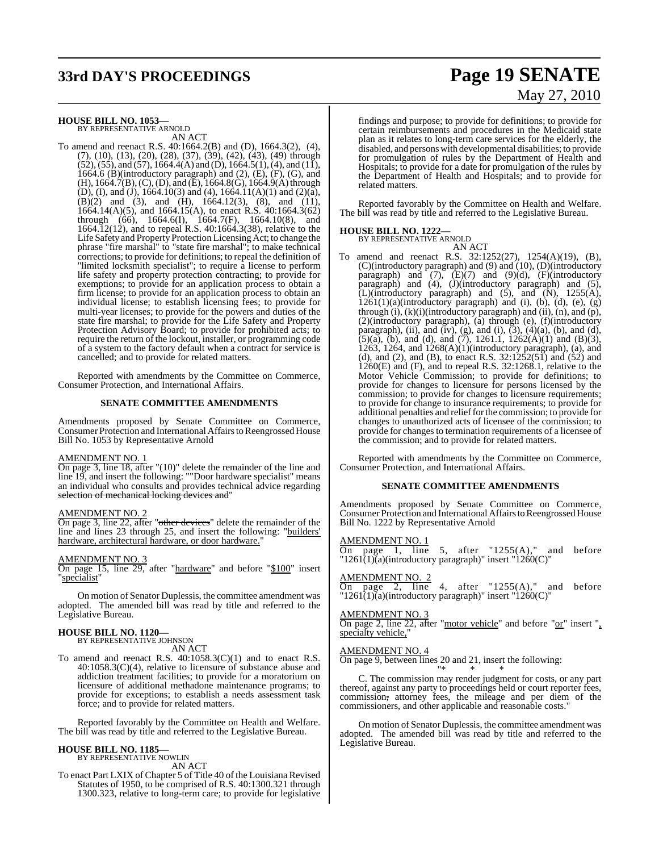# **33rd DAY'S PROCEEDINGS Page 19 SENATE**

### **HOUSE BILL NO. 1053—** BY REPRESENTATIVE ARNOLD

AN ACT

To amend and reenact R.S. 40:1664.2(B) and (D), 1664.3(2), (4), (7), (10), (13), (20), (28), (37), (39), (42), (43), (49) through  $(52)$ ,  $(55)$ , and  $(57)$ , 1664.4(A) and (D), 1664.5(1), (4), and (11), 1664.6 (B)(introductory paragraph) and  $(2)$ ,  $(E)$ ,  $(F)$ ,  $(G)$ , and  $(H)$ , 1664.7(B), (C), (D), and (E), 1664.8(G), 1664.9(A) through (D), (I), and (J), 1664.10(3) and (4), 1664.11(A)(1) and (2)(a),  $(B)(2)$  and  $(3)$ , and  $(H)$ , 1664.12(3),  $(8)$ , and  $(11)$ , 1664.14(A)(5), and 1664.15(A), to enact R.S. 40:1664.3(62) through (66), 1664.6(I), 1664.7(F), 1664.10(8), and 1664.12(12), and to repeal R.S. 40:1664.3(38), relative to the Life Safety and Property Protection LicensingAct; to change the phrase "fire marshal" to "state fire marshal"; to make technical corrections; to provide for definitions; to repeal the definition of "limited locksmith specialist"; to require a license to perform life safety and property protection contracting; to provide for exemptions; to provide for an application process to obtain a firm license; to provide for an application process to obtain an individual license; to establish licensing fees; to provide for multi-year licenses; to provide for the powers and duties of the state fire marshal; to provide for the Life Safety and Property Protection Advisory Board; to provide for prohibited acts; to require the return of the lockout, installer, or programming code of a system to the factory default when a contract for service is cancelled; and to provide for related matters.

Reported with amendments by the Committee on Commerce, Consumer Protection, and International Affairs.

#### **SENATE COMMITTEE AMENDMENTS**

Amendments proposed by Senate Committee on Commerce, Consumer Protection and International Affairs to Reengrossed House Bill No. 1053 by Representative Arnold

#### AMENDMENT NO. 1

On page 3, line 18, after "(10)" delete the remainder of the line and line 19, and insert the following: ""Door hardware specialist" means an individual who consults and provides technical advice regarding selection of mechanical locking devices and"

#### <u>AMENDMENT NO. 2</u>

On page 3, line 22, after "other devices" delete the remainder of the line and lines 23 through 25, and insert the following: "builders' hardware, architectural hardware, or door hardware."

#### AMENDMENT NO. 3

On page 15, line 29, after "hardware" and before "\$100" insert "specialist"

On motion of Senator Duplessis, the committee amendment was adopted. The amended bill was read by title and referred to the Legislative Bureau.

### **HOUSE BILL NO. 1120—** BY REPRESENTATIVE JOHNSON

AN ACT

To amend and reenact R.S. 40:1058.3(C)(1) and to enact R.S.  $40:1058.3(C)(4)$ , relative to licensure of substance abuse and addiction treatment facilities; to provide for a moratorium on licensure of additional methadone maintenance programs; to provide for exceptions; to establish a needs assessment task force; and to provide for related matters.

Reported favorably by the Committee on Health and Welfare. The bill was read by title and referred to the Legislative Bureau.

#### **HOUSE BILL NO. 1185—**

BY REPRESENTATIVE NOWLIN AN ACT

To enact Part LXIX of Chapter 5 of Title 40 of the Louisiana Revised Statutes of 1950, to be comprised of R.S. 40:1300.321 through 1300.323, relative to long-term care; to provide for legislative

#### findings and purpose; to provide for definitions; to provide for certain reimbursements and procedures in the Medicaid state plan as it relates to long-term care services for the elderly, the disabled, and persons with developmental disabilities; to provide for promulgation of rules by the Department of Health and Hospitals; to provide for a date for promulgation of the rules by the Department of Health and Hospitals; and to provide for

Reported favorably by the Committee on Health and Welfare. The bill was read by title and referred to the Legislative Bureau.

### **HOUSE BILL NO. 1222—**

related matters.

BY REPRESENTATIVE ARNOLD AN ACT

To amend and reenact R.S. 32:1252(27), 1254(A)(19), (B), (C)(introductory paragraph) and (9) and (10), (D)(introductory paragraph) and  $(7)$ ,  $(E)(7)$  and  $(9)(d)$ ,  $(F)(introductory)$ paragraph) and (4), (J)(introductory paragraph) and (5),  $\tilde{L}$ )(introductory paragraph) and (5), and  $\tilde{N}$ ), 1255(A),  $1261(1)(a)$ (introductory paragraph) and (i), (b), (d), (e), (g) through  $(i)$ ,  $(k)(i)$ (introductory paragraph) and  $(ii)$ ,  $(n)$ , and  $(p)$ , (2)(introductory paragraph), (a) through (e), (f)(introductory paragraph), (ii), and (iv), (g), and (i),  $(3)$ ,  $(4)(a)$ ,  $(b)$ , and  $(d)$ ,  $(5)(a)$ ,  $(b)$ , and  $(d)$ , and  $(7)$ , 1261.1, 1262 $(A)(1)$  and  $(B)(3)$ , 1263, 1264, and 1268(A)(1)(introductory paragraph), (a), and (d), and (2), and (B), to enact R.S.  $32:1252(51)$  and (52) and  $1260(E)$  and (F), and to repeal R.S. 32:1268.1, relative to the Motor Vehicle Commission; to provide for definitions; to provide for changes to licensure for persons licensed by the commission; to provide for changes to licensure requirements; to provide for change to insurance requirements; to provide for additional penalties and reliefforthe commission; to provide for changes to unauthorized acts of licensee of the commission; to provide for changes to termination requirements of a licensee of the commission; and to provide for related matters.

Reported with amendments by the Committee on Commerce, Consumer Protection, and International Affairs.

#### **SENATE COMMITTEE AMENDMENTS**

Amendments proposed by Senate Committee on Commerce, Consumer Protection and International Affairs to Reengrossed House Bill No. 1222 by Representative Arnold

#### AMENDMENT NO. 1

On page 1, line 5, after " $1255(A)$ ," and before  $"1261(1)(a)$ (introductory paragraph)" insert "1260(C)"

#### AMENDMENT NO. 2

On page 2, line 4, after " $1255(A)$ ," and before  $"1261(1)(a)$ (introductory paragraph)" insert "1260(C)"

#### AMENDMENT NO. 3

On page 2, line 22, after "motor vehicle" and before "or" insert ", specialty vehicle,"

#### AMENDMENT NO. 4

On page 9, between lines 20 and 21, insert the following:

"\* \* \* C. The commission may render judgment for costs, or any part thereof, against any party to proceedings held or court reporter fees, commission, attorney fees, the mileage and per diem of the commissioners, and other applicable and reasonable costs."

On motion of Senator Duplessis, the committee amendment was adopted. The amended bill was read by title and referred to the Legislative Bureau.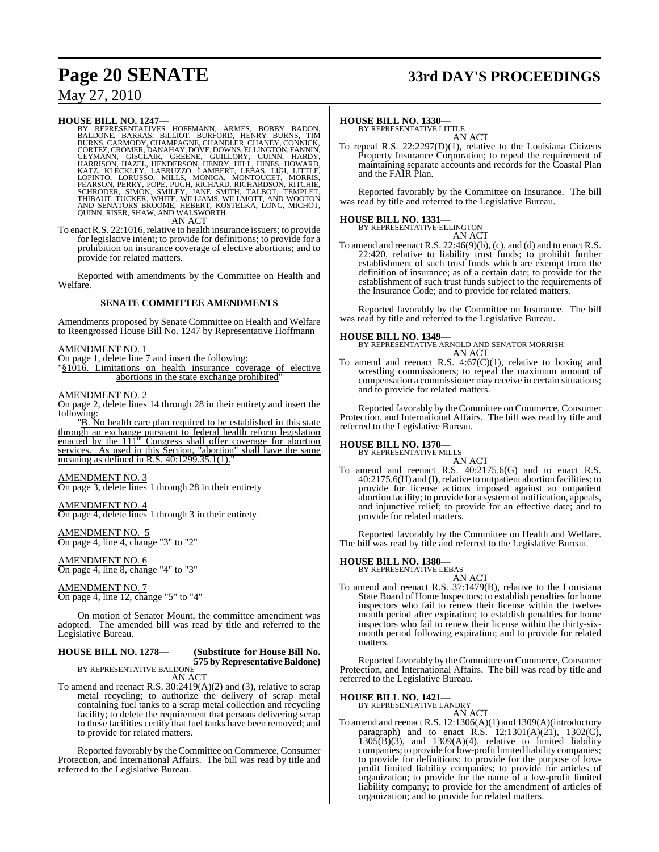## **Page 20 SENATE 33rd DAY'S PROCEEDINGS**

### May 27, 2010

#### **HOUSE BILL NO. 1247—**

BY REPRESENTATIVES HOFFMANN, ARMES, BOBBY BADON, BURNONE, BARRAS, BILLIOT, BURFORD, HENRY BURNS, CHAMODY, CHAMPAGNE, CHANDLER, CHANEY, CONNICK, GETEZ, CROATEZ, CROATEZ, CROATEZ, CROATEZ, CROATEZ, GETYMANN, GISCLAIR, GREENE

To enact R.S. 22:1016, relative to health insurance issuers; to provide for legislative intent; to provide for definitions; to provide for a prohibition on insurance coverage of elective abortions; and to provide for related matters.

Reported with amendments by the Committee on Health and Welfare.

#### **SENATE COMMITTEE AMENDMENTS**

Amendments proposed by Senate Committee on Health and Welfare to Reengrossed House Bill No. 1247 by Representative Hoffmann

#### AMENDMENT NO. 1

On page 1, delete line 7 and insert the following:

"§1016. Limitations on health insurance coverage of elective abortions in the state exchange prohibited"

#### AMENDMENT NO. 2

On page 2, delete lines 14 through 28 in their entirety and insert the following:

"B. No health care plan required to be established in this state through an exchange pursuant to federal health reform legislation enacted by the 111<sup>th</sup> Congress shall offer coverage for abortion services. As used in this Section, "abortion" shall have the same meaning as defined in R.S. 40:1299.35.1(1)."

#### AMENDMENT NO. 3

On page 3, delete lines 1 through 28 in their entirety

#### AMENDMENT NO. 4

On page 4, delete lines 1 through 3 in their entirety

AMENDMENT NO. 5 On page 4, line 4, change "3" to "2"

AMENDMENT NO. 6 On page 4, line 8, change "4" to "3"

AMENDMENT NO. 7 On page 4, line 12, change "5" to "4"

On motion of Senator Mount, the committee amendment was adopted. The amended bill was read by title and referred to the Legislative Bureau.

### **HOUSE BILL NO. 1278— (Substitute for House Bill No. 575 by Representative Baldone)** BY REPRESENTATIVE BALDONE

AN ACT

To amend and reenact R.S. 30:2419(A)(2) and (3), relative to scrap metal recycling; to authorize the delivery of scrap metal containing fuel tanks to a scrap metal collection and recycling facility; to delete the requirement that persons delivering scrap to these facilities certify that fuel tanks have been removed; and to provide for related matters.

Reported favorably by the Committee on Commerce, Consumer Protection, and International Affairs. The bill was read by title and referred to the Legislative Bureau.

#### **HOUSE BILL NO. 1330—**

BY REPRESENTATIVE LITTLE AN ACT

To repeal R.S. 22:2297(D)(1), relative to the Louisiana Citizens Property Insurance Corporation; to repeal the requirement of maintaining separate accounts and records for the Coastal Plan and the FAIR Plan.

Reported favorably by the Committee on Insurance. The bill was read by title and referred to the Legislative Bureau.

### **HOUSE BILL NO. 1331—** BY REPRESENTATIVE ELLINGTON

AN ACT

To amend and reenact R.S. 22:46(9)(b), (c), and (d) and to enact R.S. 22:420, relative to liability trust funds; to prohibit further establishment of such trust funds which are exempt from the definition of insurance; as of a certain date; to provide for the establishment of such trust funds subject to the requirements of the Insurance Code; and to provide for related matters.

Reported favorably by the Committee on Insurance. The bill was read by title and referred to the Legislative Bureau.

#### **HOUSE BILL NO. 1349—**

BY REPRESENTATIVE ARNOLD AND SENATOR MORRISH AN ACT

To amend and reenact R.S.  $4:67(C)(1)$ , relative to boxing and wrestling commissioners; to repeal the maximum amount of compensation a commissioner may receive in certain situations; and to provide for related matters.

Reported favorably by the Committee on Commerce, Consumer Protection, and International Affairs. The bill was read by title and referred to the Legislative Bureau.

### **HOUSE BILL NO. 1370—** BY REPRESENTATIVE MILLS

AN ACT

To amend and reenact R.S. 40:2175.6(G) and to enact R.S. 40:2175.6(H) and (I),relative to outpatient abortion facilities; to provide for license actions imposed against an outpatient abortion facility; to provide for a systemof notification, appeals, and injunctive relief; to provide for an effective date; and to provide for related matters.

Reported favorably by the Committee on Health and Welfare. The bill was read by title and referred to the Legislative Bureau.

### **HOUSE BILL NO. 1380—** BY REPRESENTATIVE LEBAS

AN ACT To amend and reenact R.S. 37:1479(B), relative to the Louisiana State Board of Home Inspectors; to establish penalties for home inspectors who fail to renew their license within the twelvemonth period after expiration; to establish penalties for home inspectors who fail to renew their license within the thirty-sixmonth period following expiration; and to provide for related matters.

Reported favorably by the Committee on Commerce, Consumer Protection, and International Affairs. The bill was read by title and referred to the Legislative Bureau.

### **HOUSE BILL NO. 1421—**

BY REPRESENTATIVE LANDRY

AN ACT To amend and reenact R.S. 12:1306(A)(1) and 1309(A)(introductory paragraph) and to enact R.S.  $12:1301(A)(21)$ ,  $1302(C)$ ,  $1305(B)(3)$ , and  $1309(A)(4)$ , relative to limited liability companies; to provide forlow-profit limited liability companies; to provide for definitions; to provide for the purpose of lowprofit limited liability companies; to provide for articles of organization; to provide for the name of a low-profit limited liability company; to provide for the amendment of articles of organization; and to provide for related matters.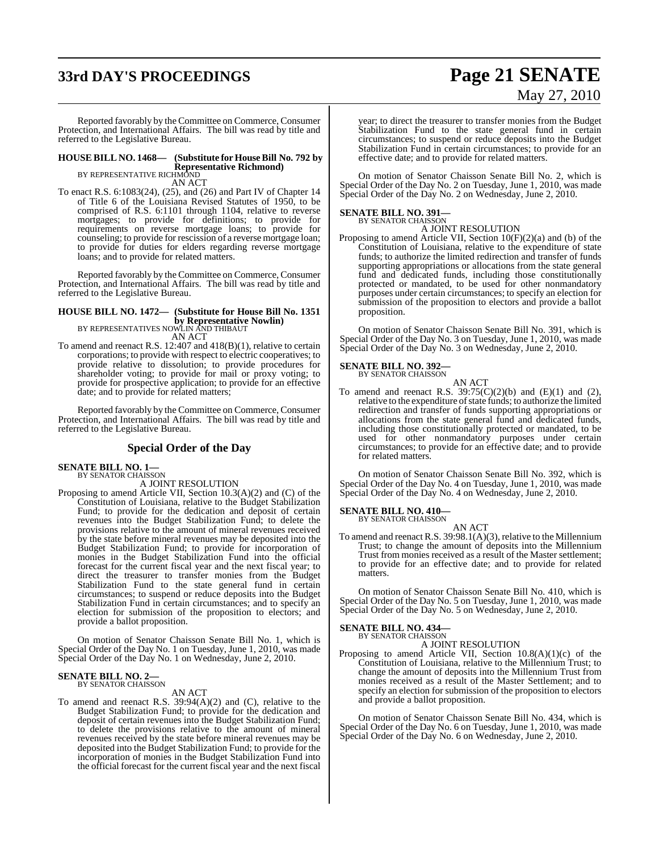## **33rd DAY'S PROCEEDINGS Page 21 SENATE**

# May 27, 2010

Reported favorably by the Committee on Commerce, Consumer Protection, and International Affairs. The bill was read by title and referred to the Legislative Bureau.

### **HOUSE BILL NO. 1468— (Substitute for HouseBill No. 792 by Representative Richmond)** BY REPRESENTATIVE RICHMOND

AN ACT

To enact R.S. 6:1083(24), (25), and (26) and Part IV of Chapter 14 of Title 6 of the Louisiana Revised Statutes of 1950, to be comprised of R.S. 6:1101 through 1104, relative to reverse mortgages; to provide for definitions; to provide for requirements on reverse mortgage loans; to provide for counseling; to provide for rescission of a reverse mortgage loan; to provide for duties for elders regarding reverse mortgage loans; and to provide for related matters.

Reported favorably by the Committee on Commerce, Consumer Protection, and International Affairs. The bill was read by title and referred to the Legislative Bureau.

### **HOUSE BILL NO. 1472— (Substitute for House Bill No. 1351 by Representative Nowlin)**<br>BY REPRESENTATIVES NOWLIN AND THIBAUT

AN ACT To amend and reenact R.S. 12:407 and 418(B)(1), relative to certain corporations; to provide with respect to electric cooperatives; to provide relative to dissolution; to provide procedures for shareholder voting; to provide for mail or proxy voting; to provide for prospective application; to provide for an effective

date; and to provide for related matters;

Reported favorably by the Committee on Commerce, Consumer Protection, and International Affairs. The bill was read by title and referred to the Legislative Bureau.

### **Special Order of the Day**

**SENATE BILL NO. 1—**<br>BY SENATOR CHAISSON

A JOINT RESOLUTION

Proposing to amend Article VII, Section 10.3(A)(2) and (C) of the Constitution of Louisiana, relative to the Budget Stabilization Fund; to provide for the dedication and deposit of certain revenues into the Budget Stabilization Fund; to delete the provisions relative to the amount of mineral revenues received by the state before mineral revenues may be deposited into the Budget Stabilization Fund; to provide for incorporation of monies in the Budget Stabilization Fund into the official forecast for the current fiscal year and the next fiscal year; to direct the treasurer to transfer monies from the Budget Stabilization Fund to the state general fund in certain circumstances; to suspend or reduce deposits into the Budget Stabilization Fund in certain circumstances; and to specify an election for submission of the proposition to electors; and provide a ballot proposition.

On motion of Senator Chaisson Senate Bill No. 1, which is Special Order of the Day No. 1 on Tuesday, June 1, 2010, was made Special Order of the Day No. 1 on Wednesday, June 2, 2010.

### **SENATE BILL NO. 2—** BY SENATOR CHAISSON

AN ACT

To amend and reenact R.S. 39:94(A)(2) and (C), relative to the Budget Stabilization Fund; to provide for the dedication and deposit of certain revenues into the Budget Stabilization Fund; to delete the provisions relative to the amount of mineral revenues received by the state before mineral revenues may be deposited into the Budget Stabilization Fund; to provide for the incorporation of monies in the Budget Stabilization Fund into the official forecast for the current fiscal year and the next fiscal

year; to direct the treasurer to transfer monies from the Budget Stabilization Fund to the state general fund in certain circumstances; to suspend or reduce deposits into the Budget Stabilization Fund in certain circumstances; to provide for an effective date; and to provide for related matters.

On motion of Senator Chaisson Senate Bill No. 2, which is Special Order of the Day No. 2 on Tuesday, June 1, 2010, was made Special Order of the Day No. 2 on Wednesday, June 2, 2010.

#### **SENATE BILL NO. 391—**

BY SENATOR CHAISSON A JOINT RESOLUTION

Proposing to amend Article VII, Section 10(F)(2)(a) and (b) of the Constitution of Louisiana, relative to the expenditure of state funds; to authorize the limited redirection and transfer of funds supporting appropriations or allocations from the state general fund and dedicated funds, including those constitutionally protected or mandated, to be used for other nonmandatory purposes under certain circumstances; to specify an election for submission of the proposition to electors and provide a ballot proposition.

On motion of Senator Chaisson Senate Bill No. 391, which is Special Order of the Day No. 3 on Tuesday, June 1, 2010, was made Special Order of the Day No. 3 on Wednesday, June 2, 2010.

#### **SENATE BILL NO. 392—**

BY SENATOR CHAISSON

AN ACT To amend and reenact R.S.  $39:75(C)(2)(b)$  and  $(E)(1)$  and  $(2)$ , relative to the expenditure of state funds; to authorize the limited redirection and transfer of funds supporting appropriations or allocations from the state general fund and dedicated funds, including those constitutionally protected or mandated, to be used for other nonmandatory purposes under certain circumstances; to provide for an effective date; and to provide for related matters.

On motion of Senator Chaisson Senate Bill No. 392, which is Special Order of the Day No. 4 on Tuesday, June 1, 2010, was made Special Order of the Day No. 4 on Wednesday, June 2, 2010.

#### **SENATE BILL NO. 410—** BY SENATOR CHAISSON

AN ACT

To amend and reenact R.S. 39:98.1(A)(3), relative to the Millennium Trust; to change the amount of deposits into the Millennium Trust from monies received as a result of the Master settlement; to provide for an effective date; and to provide for related matters.

On motion of Senator Chaisson Senate Bill No. 410, which is Special Order of the Day No. 5 on Tuesday, June 1, 2010, was made Special Order of the Day No. 5 on Wednesday, June 2, 2010.

### **SENATE BILL NO. 434—** BY SENATOR CHAISSON

A JOINT RESOLUTION

Proposing to amend Article VII, Section 10.8(A)(1)(c) of the Constitution of Louisiana, relative to the Millennium Trust; to change the amount of deposits into the Millennium Trust from monies received as a result of the Master Settlement; and to specify an election for submission of the proposition to electors and provide a ballot proposition.

On motion of Senator Chaisson Senate Bill No. 434, which is Special Order of the Day No. 6 on Tuesday, June 1, 2010, was made Special Order of the Day No. 6 on Wednesday, June 2, 2010.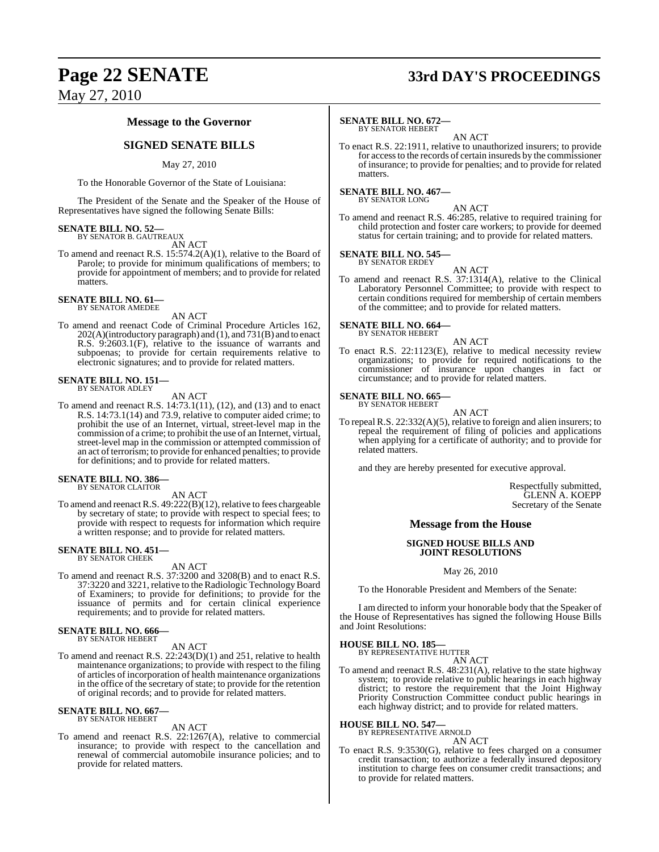### May 27, 2010

#### **Message to the Governor**

#### **SIGNED SENATE BILLS**

#### May 27, 2010

To the Honorable Governor of the State of Louisiana:

The President of the Senate and the Speaker of the House of Representatives have signed the following Senate Bills:

## **SENATE BILL NO. 52—** BY SENATOR B. GAUTREAUX

AN ACT

To amend and reenact R.S. 15:574.2(A)(1), relative to the Board of Parole; to provide for minimum qualifications of members; to provide for appointment of members; and to provide for related matters.

#### **SENATE BILL NO. 61—** BY SENATOR AMEDEE

AN ACT

To amend and reenact Code of Criminal Procedure Articles 162, 202(A)(introductory paragraph) and (1), and 731(B) and to enact R.S. 9:2603.1(F), relative to the issuance of warrants and subpoenas; to provide for certain requirements relative to electronic signatures; and to provide for related matters.

### **SENATE BILL NO. 151—** BY SENATOR ADLEY

AN ACT

To amend and reenact R.S. 14:73.1(11), (12), and (13) and to enact R.S. 14:73.1(14) and 73.9, relative to computer aided crime; to prohibit the use of an Internet, virtual, street-level map in the commission of a crime; to prohibit the use of an Internet, virtual, street-level map in the commission or attempted commission of an act of terrorism; to provide for enhanced penalties; to provide for definitions; and to provide for related matters.

### **SENATE BILL NO. 386—** BY SENATOR CLAITOR

AN ACT

To amend and reenact R.S. 49:222(B)(12), relative to fees chargeable by secretary of state; to provide with respect to special fees; to provide with respect to requests for information which require a written response; and to provide for related matters.

#### **SENATE BILL NO. 451—** BY SENATOR CHEEK

AN ACT

To amend and reenact R.S. 37:3200 and 3208(B) and to enact R.S. 37:3220 and 3221, relative to the Radiologic TechnologyBoard of Examiners; to provide for definitions; to provide for the issuance of permits and for certain clinical experience requirements; and to provide for related matters.

#### **SENATE BILL NO. 666—** BY SENATOR HEBERT

#### AN ACT

To amend and reenact R.S. 22:243(D)(1) and 251, relative to health maintenance organizations; to provide with respect to the filing of articles of incorporation of health maintenance organizations in the office of the secretary of state; to provide for the retention of original records; and to provide for related matters.

### **SENATE BILL NO. 667—** BY SENATOR HEBERT

AN ACT

To amend and reenact R.S. 22:1267(A), relative to commercial insurance; to provide with respect to the cancellation and renewal of commercial automobile insurance policies; and to provide for related matters.

### **Page 22 SENATE 33rd DAY'S PROCEEDINGS**

#### **SENATE BILL NO. 672—** BY SENATOR HEBERT

AN ACT

To enact R.S. 22:1911, relative to unauthorized insurers; to provide for accessto the records of certain insureds by the commissioner of insurance; to provide for penalties; and to provide for related matters.

#### **SENATE BILL NO. 467—**

BY SENATOR LONG

AN ACT To amend and reenact R.S. 46:285, relative to required training for child protection and foster care workers; to provide for deemed status for certain training; and to provide for related matters.

**SENATE BILL NO. 545—** BY SENATOR ERDEY

AN ACT

To amend and reenact R.S. 37:1314(A), relative to the Clinical Laboratory Personnel Committee; to provide with respect to certain conditions required for membership of certain members of the committee; and to provide for related matters.

## **SENATE BILL NO. 664—** BY SENATOR HEBERT

AN ACT

To enact R.S. 22:1123(E), relative to medical necessity review organizations; to provide for required notifications to the commissioner of insurance upon changes in fact or circumstance; and to provide for related matters.

#### **SENATE BILL NO. 665—** BY SENATOR HEBERT

AN ACT

To repeal R.S. 22:332(A)(5), relative to foreign and alien insurers; to repeal the requirement of filing of policies and applications when applying for a certificate of authority; and to provide for related matters.

and they are hereby presented for executive approval.

Respectfully submitted, GLENN A. KOEPP Secretary of the Senate

#### **Message from the House**

#### **SIGNED HOUSE BILLS AND JOINT RESOLUTIONS**

May 26, 2010

To the Honorable President and Members of the Senate:

I am directed to inform your honorable body that the Speaker of the House of Representatives has signed the following House Bills and Joint Resolutions:

**HOUSE BILL NO. 185—**

BY REPRESENTATIVE HUTTER

AN ACT To amend and reenact R.S. 48:231(A), relative to the state highway system; to provide relative to public hearings in each highway district; to restore the requirement that the Joint Highway Priority Construction Committee conduct public hearings in each highway district; and to provide for related matters.

#### **HOUSE BILL NO. 547—**

BY REPRESENTATIVE ARNOLD AN ACT

To enact R.S. 9:3530(G), relative to fees charged on a consumer credit transaction; to authorize a federally insured depository institution to charge fees on consumer credit transactions; and to provide for related matters.